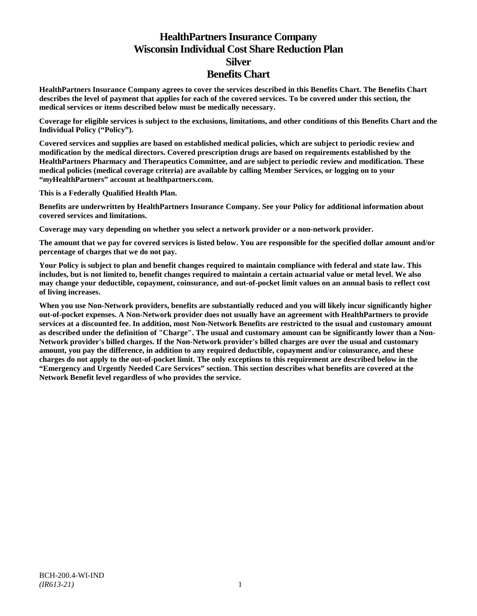# **HealthPartners Insurance Company Wisconsin Individual Cost Share Reduction Plan Silver Benefits Chart**

**HealthPartners Insurance Company agrees to cover the services described in this Benefits Chart. The Benefits Chart describes the level of payment that applies for each of the covered services. To be covered under this section, the medical services or items described below must be medically necessary.**

**Coverage for eligible services is subject to the exclusions, limitations, and other conditions of this Benefits Chart and the Individual Policy ("Policy").**

**Covered services and supplies are based on established medical policies, which are subject to periodic review and modification by the medical directors. Covered prescription drugs are based on requirements established by the HealthPartners Pharmacy and Therapeutics Committee, and are subject to periodic review and modification. These medical policies (medical coverage criteria) are available by calling Member Services, or logging on to your "***my***HealthPartners" account at [healthpartners.com.](http://www.healthpartners.com/)**

**This is a Federally Qualified Health Plan.**

**Benefits are underwritten by HealthPartners Insurance Company. See your Policy for additional information about covered services and limitations.**

**Coverage may vary depending on whether you select a network provider or a non-network provider.**

**The amount that we pay for covered services is listed below. You are responsible for the specified dollar amount and/or percentage of charges that we do not pay.**

**Your Policy is subject to plan and benefit changes required to maintain compliance with federal and state law. This includes, but is not limited to, benefit changes required to maintain a certain actuarial value or metal level. We also may change your deductible, copayment, coinsurance, and out-of-pocket limit values on an annual basis to reflect cost of living increases.**

**When you use Non-Network providers, benefits are substantially reduced and you will likely incur significantly higher out-of-pocket expenses. A Non-Network provider does not usually have an agreement with HealthPartners to provide services at a discounted fee. In addition, most Non-Network Benefits are restricted to the usual and customary amount as described under the definition of "Charge". The usual and customary amount can be significantly lower than a Non-Network provider's billed charges. If the Non-Network provider's billed charges are over the usual and customary amount, you pay the difference, in addition to any required deductible, copayment and/or coinsurance, and these charges do not apply to the out-of-pocket limit. The only exceptions to this requirement are described below in the "Emergency and Urgently Needed Care Services" section. This section describes what benefits are covered at the Network Benefit level regardless of who provides the service.**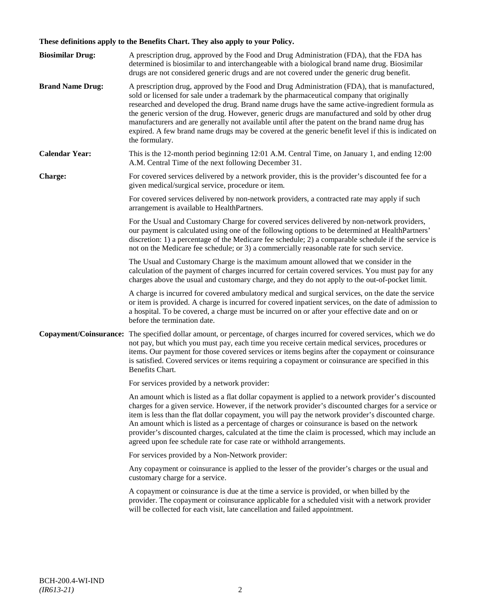# **These definitions apply to the Benefits Chart. They also apply to your Policy.**

| <b>Biosimilar Drug:</b> | A prescription drug, approved by the Food and Drug Administration (FDA), that the FDA has<br>determined is biosimilar to and interchangeable with a biological brand name drug. Biosimilar<br>drugs are not considered generic drugs and are not covered under the generic drug benefit.                                                                                                                                                                                                                                                                                                                                     |
|-------------------------|------------------------------------------------------------------------------------------------------------------------------------------------------------------------------------------------------------------------------------------------------------------------------------------------------------------------------------------------------------------------------------------------------------------------------------------------------------------------------------------------------------------------------------------------------------------------------------------------------------------------------|
| <b>Brand Name Drug:</b> | A prescription drug, approved by the Food and Drug Administration (FDA), that is manufactured,<br>sold or licensed for sale under a trademark by the pharmaceutical company that originally<br>researched and developed the drug. Brand name drugs have the same active-ingredient formula as<br>the generic version of the drug. However, generic drugs are manufactured and sold by other drug<br>manufacturers and are generally not available until after the patent on the brand name drug has<br>expired. A few brand name drugs may be covered at the generic benefit level if this is indicated on<br>the formulary. |
| <b>Calendar Year:</b>   | This is the 12-month period beginning 12:01 A.M. Central Time, on January 1, and ending 12:00<br>A.M. Central Time of the next following December 31.                                                                                                                                                                                                                                                                                                                                                                                                                                                                        |
| Charge:                 | For covered services delivered by a network provider, this is the provider's discounted fee for a<br>given medical/surgical service, procedure or item.                                                                                                                                                                                                                                                                                                                                                                                                                                                                      |
|                         | For covered services delivered by non-network providers, a contracted rate may apply if such<br>arrangement is available to HealthPartners.                                                                                                                                                                                                                                                                                                                                                                                                                                                                                  |
|                         | For the Usual and Customary Charge for covered services delivered by non-network providers,<br>our payment is calculated using one of the following options to be determined at HealthPartners'<br>discretion: 1) a percentage of the Medicare fee schedule; 2) a comparable schedule if the service is<br>not on the Medicare fee schedule; or 3) a commercially reasonable rate for such service.                                                                                                                                                                                                                          |
|                         | The Usual and Customary Charge is the maximum amount allowed that we consider in the<br>calculation of the payment of charges incurred for certain covered services. You must pay for any<br>charges above the usual and customary charge, and they do not apply to the out-of-pocket limit.                                                                                                                                                                                                                                                                                                                                 |
|                         | A charge is incurred for covered ambulatory medical and surgical services, on the date the service<br>or item is provided. A charge is incurred for covered inpatient services, on the date of admission to<br>a hospital. To be covered, a charge must be incurred on or after your effective date and on or<br>before the termination date.                                                                                                                                                                                                                                                                                |
|                         | Copayment/Coinsurance: The specified dollar amount, or percentage, of charges incurred for covered services, which we do<br>not pay, but which you must pay, each time you receive certain medical services, procedures or<br>items. Our payment for those covered services or items begins after the copayment or coinsurance<br>is satisfied. Covered services or items requiring a copayment or coinsurance are specified in this<br>Benefits Chart.                                                                                                                                                                      |
|                         | For services provided by a network provider:                                                                                                                                                                                                                                                                                                                                                                                                                                                                                                                                                                                 |
|                         | An amount which is listed as a flat dollar copayment is applied to a network provider's discounted<br>charges for a given service. However, if the network provider's discounted charges for a service or<br>item is less than the flat dollar copayment, you will pay the network provider's discounted charge.<br>An amount which is listed as a percentage of charges or coinsurance is based on the network<br>provider's discounted charges, calculated at the time the claim is processed, which may include an<br>agreed upon fee schedule rate for case rate or withhold arrangements.                               |
|                         | For services provided by a Non-Network provider:                                                                                                                                                                                                                                                                                                                                                                                                                                                                                                                                                                             |
|                         | Any copayment or coinsurance is applied to the lesser of the provider's charges or the usual and<br>customary charge for a service.                                                                                                                                                                                                                                                                                                                                                                                                                                                                                          |
|                         | A copayment or coinsurance is due at the time a service is provided, or when billed by the<br>provider. The copayment or coinsurance applicable for a scheduled visit with a network provider<br>will be collected for each visit, late cancellation and failed appointment.                                                                                                                                                                                                                                                                                                                                                 |
|                         |                                                                                                                                                                                                                                                                                                                                                                                                                                                                                                                                                                                                                              |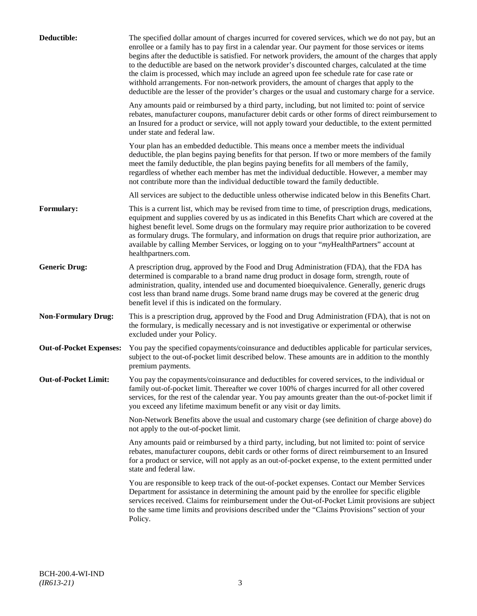| Deductible:                    | The specified dollar amount of charges incurred for covered services, which we do not pay, but an<br>enrollee or a family has to pay first in a calendar year. Our payment for those services or items<br>begins after the deductible is satisfied. For network providers, the amount of the charges that apply<br>to the deductible are based on the network provider's discounted charges, calculated at the time<br>the claim is processed, which may include an agreed upon fee schedule rate for case rate or<br>withhold arrangements. For non-network providers, the amount of charges that apply to the<br>deductible are the lesser of the provider's charges or the usual and customary charge for a service. |
|--------------------------------|-------------------------------------------------------------------------------------------------------------------------------------------------------------------------------------------------------------------------------------------------------------------------------------------------------------------------------------------------------------------------------------------------------------------------------------------------------------------------------------------------------------------------------------------------------------------------------------------------------------------------------------------------------------------------------------------------------------------------|
|                                | Any amounts paid or reimbursed by a third party, including, but not limited to: point of service<br>rebates, manufacturer coupons, manufacturer debit cards or other forms of direct reimbursement to<br>an Insured for a product or service, will not apply toward your deductible, to the extent permitted<br>under state and federal law.                                                                                                                                                                                                                                                                                                                                                                            |
|                                | Your plan has an embedded deductible. This means once a member meets the individual<br>deductible, the plan begins paying benefits for that person. If two or more members of the family<br>meet the family deductible, the plan begins paying benefits for all members of the family,<br>regardless of whether each member has met the individual deductible. However, a member may<br>not contribute more than the individual deductible toward the family deductible.                                                                                                                                                                                                                                                |
|                                | All services are subject to the deductible unless otherwise indicated below in this Benefits Chart.                                                                                                                                                                                                                                                                                                                                                                                                                                                                                                                                                                                                                     |
| Formulary:                     | This is a current list, which may be revised from time to time, of prescription drugs, medications,<br>equipment and supplies covered by us as indicated in this Benefits Chart which are covered at the<br>highest benefit level. Some drugs on the formulary may require prior authorization to be covered<br>as formulary drugs. The formulary, and information on drugs that require prior authorization, are<br>available by calling Member Services, or logging on to your "myHealthPartners" account at<br>healthpartners.com.                                                                                                                                                                                   |
| <b>Generic Drug:</b>           | A prescription drug, approved by the Food and Drug Administration (FDA), that the FDA has<br>determined is comparable to a brand name drug product in dosage form, strength, route of<br>administration, quality, intended use and documented bioequivalence. Generally, generic drugs<br>cost less than brand name drugs. Some brand name drugs may be covered at the generic drug<br>benefit level if this is indicated on the formulary.                                                                                                                                                                                                                                                                             |
| <b>Non-Formulary Drug:</b>     | This is a prescription drug, approved by the Food and Drug Administration (FDA), that is not on<br>the formulary, is medically necessary and is not investigative or experimental or otherwise<br>excluded under your Policy.                                                                                                                                                                                                                                                                                                                                                                                                                                                                                           |
| <b>Out-of-Pocket Expenses:</b> | You pay the specified copayments/coinsurance and deductibles applicable for particular services,<br>subject to the out-of-pocket limit described below. These amounts are in addition to the monthly<br>premium payments.                                                                                                                                                                                                                                                                                                                                                                                                                                                                                               |
| <b>Out-of-Pocket Limit:</b>    | You pay the copayments/coinsurance and deductibles for covered services, to the individual or<br>family out-of-pocket limit. Thereafter we cover 100% of charges incurred for all other covered<br>services, for the rest of the calendar year. You pay amounts greater than the out-of-pocket limit if<br>you exceed any lifetime maximum benefit or any visit or day limits.                                                                                                                                                                                                                                                                                                                                          |
|                                | Non-Network Benefits above the usual and customary charge (see definition of charge above) do<br>not apply to the out-of-pocket limit.                                                                                                                                                                                                                                                                                                                                                                                                                                                                                                                                                                                  |
|                                | Any amounts paid or reimbursed by a third party, including, but not limited to: point of service<br>rebates, manufacturer coupons, debit cards or other forms of direct reimbursement to an Insured<br>for a product or service, will not apply as an out-of-pocket expense, to the extent permitted under<br>state and federal law.                                                                                                                                                                                                                                                                                                                                                                                    |
|                                | You are responsible to keep track of the out-of-pocket expenses. Contact our Member Services<br>Department for assistance in determining the amount paid by the enrollee for specific eligible<br>services received. Claims for reimbursement under the Out-of-Pocket Limit provisions are subject<br>to the same time limits and provisions described under the "Claims Provisions" section of your<br>Policy.                                                                                                                                                                                                                                                                                                         |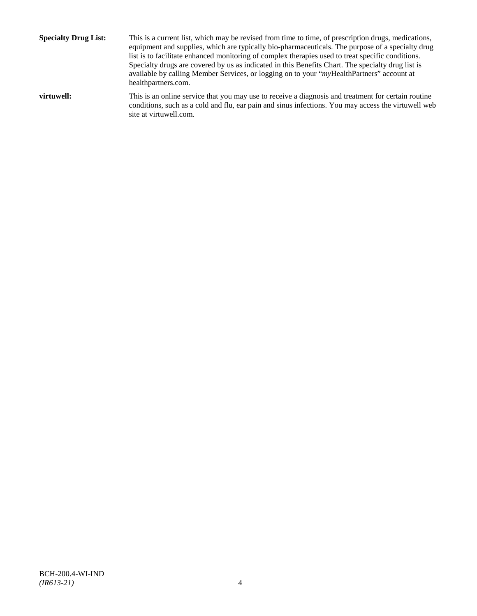**Specialty Drug List:** This is a current list, which may be revised from time to time, of prescription drugs, medications, equipment and supplies, which are typically bio-pharmaceuticals. The purpose of a specialty drug list is to facilitate enhanced monitoring of complex therapies used to treat specific conditions. Specialty drugs are covered by us as indicated in this Benefits Chart. The specialty drug list is available by calling Member Services, or logging on to your "*my*HealthPartners" account at [healthpartners.com.](http://www.healthpartners.com/) **virtuwell:** This is an online service that you may use to receive a diagnosis and treatment for certain routine conditions, such as a cold and flu, ear pain and sinus infections. You may access the virtuwell web

site a[t virtuwell.com.](http://www.virtuwell.com/)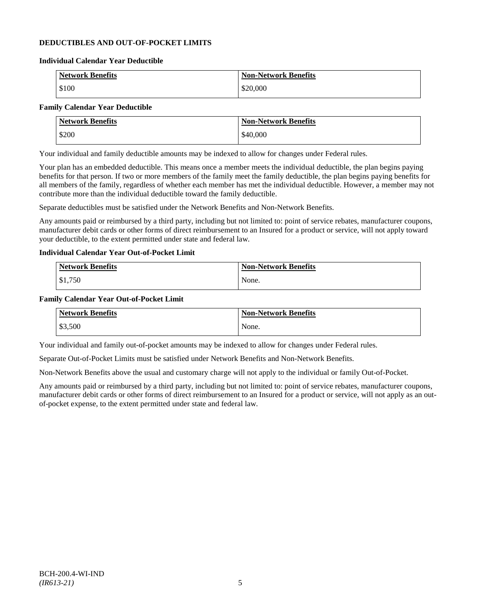### **DEDUCTIBLES AND OUT-OF-POCKET LIMITS**

#### **Individual Calendar Year Deductible**

| <b>Network Benefits</b> | <b>Non-Network Benefits</b> |
|-------------------------|-----------------------------|
| \$100                   | \$20,000                    |

# **Family Calendar Year Deductible**

|       | <b>Network Benefits</b> | <b>Non-Network Benefits</b> |
|-------|-------------------------|-----------------------------|
| \$200 |                         | \$40,000                    |

Your individual and family deductible amounts may be indexed to allow for changes under Federal rules.

Your plan has an embedded deductible. This means once a member meets the individual deductible, the plan begins paying benefits for that person. If two or more members of the family meet the family deductible, the plan begins paying benefits for all members of the family, regardless of whether each member has met the individual deductible. However, a member may not contribute more than the individual deductible toward the family deductible.

Separate deductibles must be satisfied under the Network Benefits and Non-Network Benefits.

Any amounts paid or reimbursed by a third party, including but not limited to: point of service rebates, manufacturer coupons, manufacturer debit cards or other forms of direct reimbursement to an Insured for a product or service, will not apply toward your deductible, to the extent permitted under state and federal law.

### **Individual Calendar Year Out-of-Pocket Limit**

| Network Benefits | <b>Non-Network Benefits</b> |
|------------------|-----------------------------|
| \$1,750          | None.                       |

#### **Family Calendar Year Out-of-Pocket Limit**

| <b>Network Benefits</b> | <b>Non-Network Benefits</b> |
|-------------------------|-----------------------------|
| \$3,500                 | None.                       |

Your individual and family out-of-pocket amounts may be indexed to allow for changes under Federal rules.

Separate Out-of-Pocket Limits must be satisfied under Network Benefits and Non-Network Benefits.

Non-Network Benefits above the usual and customary charge will not apply to the individual or family Out-of-Pocket.

Any amounts paid or reimbursed by a third party, including but not limited to: point of service rebates, manufacturer coupons, manufacturer debit cards or other forms of direct reimbursement to an Insured for a product or service, will not apply as an outof-pocket expense, to the extent permitted under state and federal law.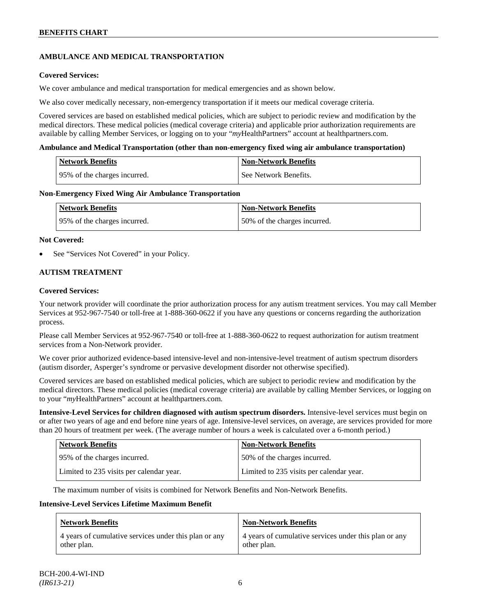### **AMBULANCE AND MEDICAL TRANSPORTATION**

### **Covered Services:**

We cover ambulance and medical transportation for medical emergencies and as shown below.

We also cover medically necessary, non-emergency transportation if it meets our medical coverage criteria.

Covered services are based on established medical policies, which are subject to periodic review and modification by the medical directors. These medical policies (medical coverage criteria) and applicable prior authorization requirements are available by calling Member Services, or logging on to your "*my*HealthPartners" account a[t healthpartners.com.](http://www.healthpartners.com/)

#### **Ambulance and Medical Transportation (other than non-emergency fixed wing air ambulance transportation)**

| Network Benefits              | Non-Network Benefits  |
|-------------------------------|-----------------------|
| 195% of the charges incurred. | See Network Benefits. |

#### **Non-Emergency Fixed Wing Air Ambulance Transportation**

| <b>Network Benefits</b>      | <b>Non-Network Benefits</b>  |
|------------------------------|------------------------------|
| 95% of the charges incurred. | 50% of the charges incurred. |

#### **Not Covered:**

See "Services Not Covered" in your Policy.

### **AUTISM TREATMENT**

#### **Covered Services:**

Your network provider will coordinate the prior authorization process for any autism treatment services. You may call Member Services at 952-967-7540 or toll-free at 1-888-360-0622 if you have any questions or concerns regarding the authorization process.

Please call Member Services at 952-967-7540 or toll-free at 1-888-360-0622 to request authorization for autism treatment services from a Non-Network provider.

We cover prior authorized evidence-based intensive-level and non-intensive-level treatment of autism spectrum disorders (autism disorder, Asperger's syndrome or pervasive development disorder not otherwise specified).

Covered services are based on established medical policies, which are subject to periodic review and modification by the medical directors. These medical policies (medical coverage criteria) are available by calling Member Services, or logging on to your "*my*HealthPartners" account at [healthpartners.com.](http://www.healthpartners.com/)

**Intensive-Level Services for children diagnosed with autism spectrum disorders.** Intensive-level services must begin on or after two years of age and end before nine years of age. Intensive-level services, on average, are services provided for more than 20 hours of treatment per week. (The average number of hours a week is calculated over a 6-month period.)

| <b>Network Benefits</b>                  | <b>Non-Network Benefits</b>              |
|------------------------------------------|------------------------------------------|
| 95% of the charges incurred.             | 50% of the charges incurred.             |
| Limited to 235 visits per calendar year. | Limited to 235 visits per calendar year. |

The maximum number of visits is combined for Network Benefits and Non-Network Benefits.

#### **Intensive-Level Services Lifetime Maximum Benefit**

| <b>Network Benefits</b>                               | <b>Non-Network Benefits</b>                           |
|-------------------------------------------------------|-------------------------------------------------------|
| 4 years of cumulative services under this plan or any | 4 years of cumulative services under this plan or any |
| other plan.                                           | other plan.                                           |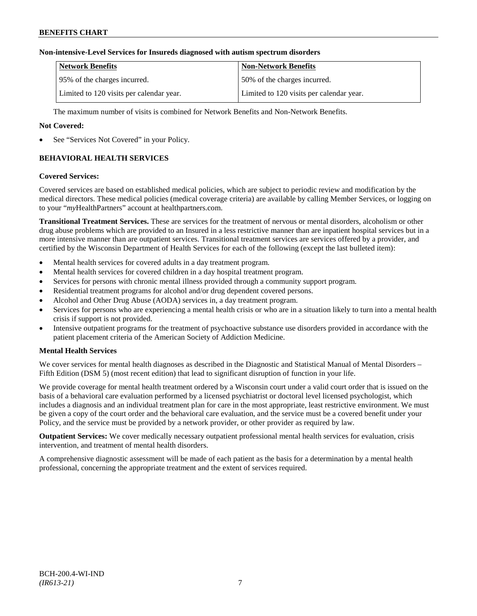### **Non-intensive-Level Services for Insureds diagnosed with autism spectrum disorders**

| Network Benefits                         | <b>Non-Network Benefits</b>              |
|------------------------------------------|------------------------------------------|
| 195% of the charges incurred.            | 50% of the charges incurred.             |
| Limited to 120 visits per calendar year. | Limited to 120 visits per calendar year. |

The maximum number of visits is combined for Network Benefits and Non-Network Benefits.

### **Not Covered:**

See "Services Not Covered" in your Policy.

# **BEHAVIORAL HEALTH SERVICES**

#### **Covered Services:**

Covered services are based on established medical policies, which are subject to periodic review and modification by the medical directors. These medical policies (medical coverage criteria) are available by calling Member Services, or logging on to your "*my*HealthPartners" account at [healthpartners.com.](http://www.healthpartners.com/)

**Transitional Treatment Services.** These are services for the treatment of nervous or mental disorders, alcoholism or other drug abuse problems which are provided to an Insured in a less restrictive manner than are inpatient hospital services but in a more intensive manner than are outpatient services. Transitional treatment services are services offered by a provider, and certified by the Wisconsin Department of Health Services for each of the following (except the last bulleted item):

- Mental health services for covered adults in a day treatment program.
- Mental health services for covered children in a day hospital treatment program.
- Services for persons with chronic mental illness provided through a community support program.
- Residential treatment programs for alcohol and/or drug dependent covered persons.
- Alcohol and Other Drug Abuse (AODA) services in, a day treatment program.
- Services for persons who are experiencing a mental health crisis or who are in a situation likely to turn into a mental health crisis if support is not provided.
- Intensive outpatient programs for the treatment of psychoactive substance use disorders provided in accordance with the patient placement criteria of the American Society of Addiction Medicine.

### **Mental Health Services**

We cover services for mental health diagnoses as described in the Diagnostic and Statistical Manual of Mental Disorders – Fifth Edition (DSM 5) (most recent edition) that lead to significant disruption of function in your life.

We provide coverage for mental health treatment ordered by a Wisconsin court under a valid court order that is issued on the basis of a behavioral care evaluation performed by a licensed psychiatrist or doctoral level licensed psychologist, which includes a diagnosis and an individual treatment plan for care in the most appropriate, least restrictive environment. We must be given a copy of the court order and the behavioral care evaluation, and the service must be a covered benefit under your Policy, and the service must be provided by a network provider, or other provider as required by law.

**Outpatient Services:** We cover medically necessary outpatient professional mental health services for evaluation, crisis intervention, and treatment of mental health disorders.

A comprehensive diagnostic assessment will be made of each patient as the basis for a determination by a mental health professional, concerning the appropriate treatment and the extent of services required.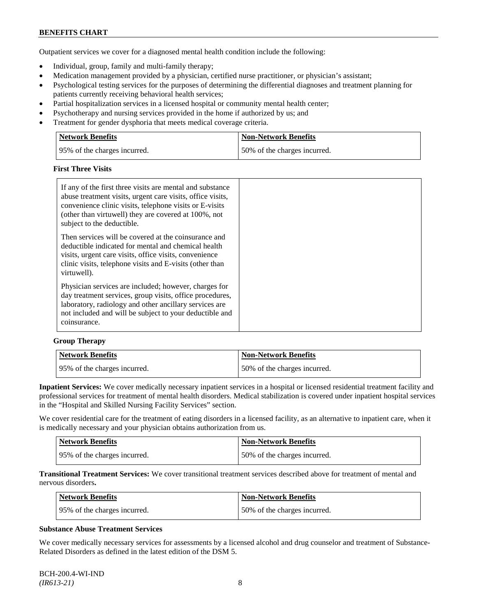Outpatient services we cover for a diagnosed mental health condition include the following:

- Individual, group, family and multi-family therapy;
- Medication management provided by a physician, certified nurse practitioner, or physician's assistant;
- Psychological testing services for the purposes of determining the differential diagnoses and treatment planning for patients currently receiving behavioral health services;
- Partial hospitalization services in a licensed hospital or community mental health center;
- Psychotherapy and nursing services provided in the home if authorized by us; and
- Treatment for gender dysphoria that meets medical coverage criteria.

| Network Benefits              | Non-Network Benefits         |
|-------------------------------|------------------------------|
| 195% of the charges incurred. | 50% of the charges incurred. |

# **First Three Visits**

| If any of the first three visits are mental and substance<br>abuse treatment visits, urgent care visits, office visits,<br>convenience clinic visits, telephone visits or E-visits<br>(other than virtuwell) they are covered at 100%, not<br>subject to the deductible. |
|--------------------------------------------------------------------------------------------------------------------------------------------------------------------------------------------------------------------------------------------------------------------------|
| Then services will be covered at the coinsurance and<br>deductible indicated for mental and chemical health<br>visits, urgent care visits, office visits, convenience<br>clinic visits, telephone visits and E-visits (other than<br>virtuwell).                         |
| Physician services are included; however, charges for<br>day treatment services, group visits, office procedures,<br>laboratory, radiology and other ancillary services are<br>not included and will be subject to your deductible and<br>coinsurance.                   |

#### **Group Therapy**

| Network Benefits             | <b>Non-Network Benefits</b>  |
|------------------------------|------------------------------|
| 95% of the charges incurred. | 50% of the charges incurred. |

**Inpatient Services:** We cover medically necessary inpatient services in a hospital or licensed residential treatment facility and professional services for treatment of mental health disorders. Medical stabilization is covered under inpatient hospital services in the "Hospital and Skilled Nursing Facility Services" section.

We cover residential care for the treatment of eating disorders in a licensed facility, as an alternative to inpatient care, when it is medically necessary and your physician obtains authorization from us.

| Network Benefits              | Non-Network Benefits         |
|-------------------------------|------------------------------|
| 195% of the charges incurred. | 50% of the charges incurred. |

**Transitional Treatment Services:** We cover transitional treatment services described above for treatment of mental and nervous disorders**.**

| Network Benefits             | Non-Network Benefits         |
|------------------------------|------------------------------|
| 95% of the charges incurred. | 50% of the charges incurred. |

#### **Substance Abuse Treatment Services**

We cover medically necessary services for assessments by a licensed alcohol and drug counselor and treatment of Substance-Related Disorders as defined in the latest edition of the DSM 5.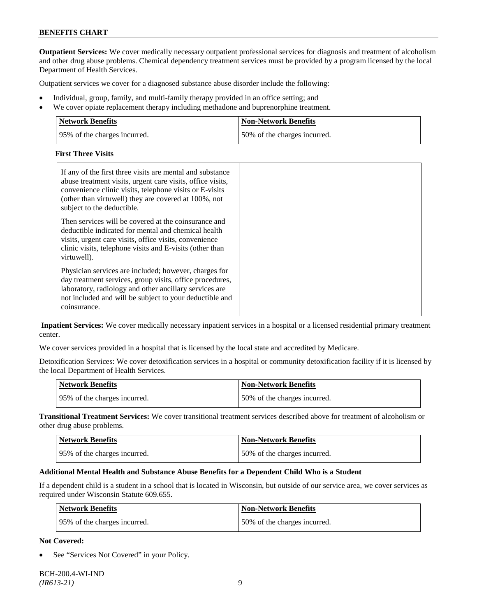**Outpatient Services:** We cover medically necessary outpatient professional services for diagnosis and treatment of alcoholism and other drug abuse problems. Chemical dependency treatment services must be provided by a program licensed by the local Department of Health Services.

Outpatient services we cover for a diagnosed substance abuse disorder include the following:

- Individual, group, family, and multi-family therapy provided in an office setting; and
- We cover opiate replacement therapy including methadone and buprenorphine treatment.

| <b>Network Benefits</b>      | <b>Non-Network Benefits</b>  |
|------------------------------|------------------------------|
| 95% of the charges incurred. | 50% of the charges incurred. |

### **First Three Visits**

| If any of the first three visits are mental and substance<br>abuse treatment visits, urgent care visits, office visits,<br>convenience clinic visits, telephone visits or E-visits<br>(other than virtuwell) they are covered at 100%, not<br>subject to the deductible. |  |
|--------------------------------------------------------------------------------------------------------------------------------------------------------------------------------------------------------------------------------------------------------------------------|--|
| Then services will be covered at the coinsurance and<br>deductible indicated for mental and chemical health<br>visits, urgent care visits, office visits, convenience<br>clinic visits, telephone visits and E-visits (other than<br>virtuwell).                         |  |
| Physician services are included; however, charges for<br>day treatment services, group visits, office procedures,<br>laboratory, radiology and other ancillary services are<br>not included and will be subject to your deductible and<br>coinsurance.                   |  |

**Inpatient Services:** We cover medically necessary inpatient services in a hospital or a licensed residential primary treatment center.

We cover services provided in a hospital that is licensed by the local state and accredited by Medicare.

Detoxification Services: We cover detoxification services in a hospital or community detoxification facility if it is licensed by the local Department of Health Services.

| Network Benefits              | <b>Non-Network Benefits</b>  |
|-------------------------------|------------------------------|
| 195% of the charges incurred. | 50% of the charges incurred. |

**Transitional Treatment Services:** We cover transitional treatment services described above for treatment of alcoholism or other drug abuse problems.

| <b>Network Benefits</b>      | Non-Network Benefits         |
|------------------------------|------------------------------|
| 95% of the charges incurred. | 50% of the charges incurred. |

### **Additional Mental Health and Substance Abuse Benefits for a Dependent Child Who is a Student**

If a dependent child is a student in a school that is located in Wisconsin, but outside of our service area, we cover services as required under Wisconsin Statute 609.655.

| <b>Network Benefits</b>      | <b>Non-Network Benefits</b>  |
|------------------------------|------------------------------|
| 95% of the charges incurred. | 50% of the charges incurred. |

#### **Not Covered:**

See "Services Not Covered" in your Policy.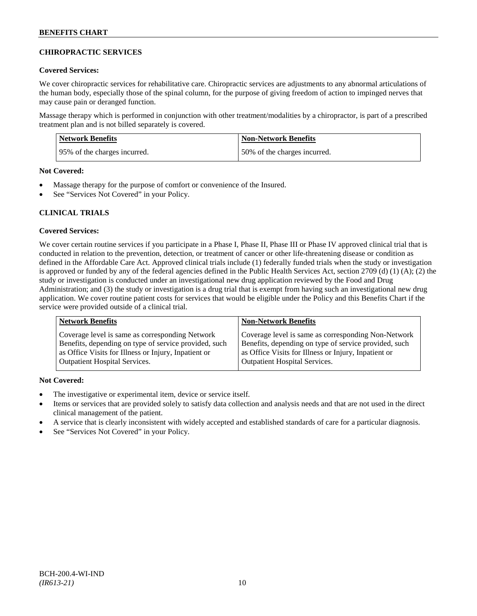### **CHIROPRACTIC SERVICES**

### **Covered Services:**

We cover chiropractic services for rehabilitative care. Chiropractic services are adjustments to any abnormal articulations of the human body, especially those of the spinal column, for the purpose of giving freedom of action to impinged nerves that may cause pain or deranged function.

Massage therapy which is performed in conjunction with other treatment/modalities by a chiropractor, is part of a prescribed treatment plan and is not billed separately is covered.

| <b>Network Benefits</b>       | <b>Non-Network Benefits</b>  |
|-------------------------------|------------------------------|
| 195% of the charges incurred. | 50% of the charges incurred. |

### **Not Covered:**

- Massage therapy for the purpose of comfort or convenience of the Insured.
- See "Services Not Covered" in your Policy.

### **CLINICAL TRIALS**

#### **Covered Services:**

We cover certain routine services if you participate in a Phase I, Phase II, Phase III or Phase IV approved clinical trial that is conducted in relation to the prevention, detection, or treatment of cancer or other life-threatening disease or condition as defined in the Affordable Care Act. Approved clinical trials include (1) federally funded trials when the study or investigation is approved or funded by any of the federal agencies defined in the Public Health Services Act, section 2709 (d) (1) (A); (2) the study or investigation is conducted under an investigational new drug application reviewed by the Food and Drug Administration; and (3) the study or investigation is a drug trial that is exempt from having such an investigational new drug application. We cover routine patient costs for services that would be eligible under the Policy and this Benefits Chart if the service were provided outside of a clinical trial.

| <b>Network Benefits</b>                                                                                  | <b>Non-Network Benefits</b>                                                                                  |
|----------------------------------------------------------------------------------------------------------|--------------------------------------------------------------------------------------------------------------|
| Coverage level is same as corresponding Network<br>Benefits, depending on type of service provided, such | Coverage level is same as corresponding Non-Network<br>Benefits, depending on type of service provided, such |
| as Office Visits for Illness or Injury, Inpatient or                                                     | as Office Visits for Illness or Injury, Inpatient or                                                         |
| <b>Outpatient Hospital Services.</b>                                                                     | <b>Outpatient Hospital Services.</b>                                                                         |

- The investigative or experimental item, device or service itself.
- Items or services that are provided solely to satisfy data collection and analysis needs and that are not used in the direct clinical management of the patient.
- A service that is clearly inconsistent with widely accepted and established standards of care for a particular diagnosis.
- See "Services Not Covered" in your Policy.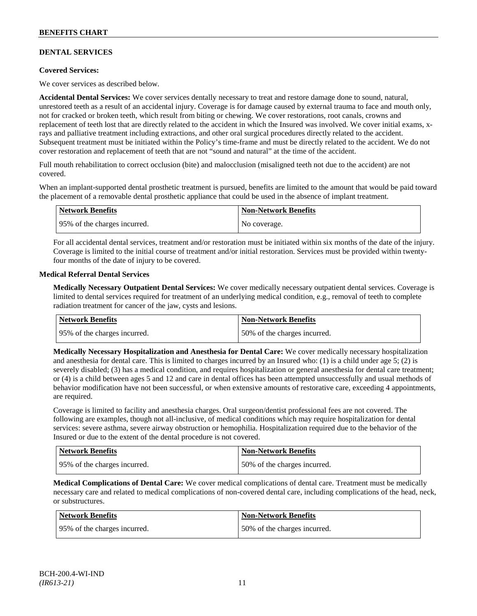### **DENTAL SERVICES**

### **Covered Services:**

We cover services as described below.

**Accidental Dental Services:** We cover services dentally necessary to treat and restore damage done to sound, natural, unrestored teeth as a result of an accidental injury. Coverage is for damage caused by external trauma to face and mouth only, not for cracked or broken teeth, which result from biting or chewing. We cover restorations, root canals, crowns and replacement of teeth lost that are directly related to the accident in which the Insured was involved. We cover initial exams, xrays and palliative treatment including extractions, and other oral surgical procedures directly related to the accident. Subsequent treatment must be initiated within the Policy's time-frame and must be directly related to the accident. We do not cover restoration and replacement of teeth that are not "sound and natural" at the time of the accident.

Full mouth rehabilitation to correct occlusion (bite) and malocclusion (misaligned teeth not due to the accident) are not covered.

When an implant-supported dental prosthetic treatment is pursued, benefits are limited to the amount that would be paid toward the placement of a removable dental prosthetic appliance that could be used in the absence of implant treatment.

| Network Benefits             | <b>Non-Network Benefits</b> |
|------------------------------|-----------------------------|
| 95% of the charges incurred. | No coverage.                |

For all accidental dental services, treatment and/or restoration must be initiated within six months of the date of the injury. Coverage is limited to the initial course of treatment and/or initial restoration. Services must be provided within twentyfour months of the date of injury to be covered.

#### **Medical Referral Dental Services**

**Medically Necessary Outpatient Dental Services:** We cover medically necessary outpatient dental services. Coverage is limited to dental services required for treatment of an underlying medical condition, e.g., removal of teeth to complete radiation treatment for cancer of the jaw, cysts and lesions.

| Network Benefits             | <b>Non-Network Benefits</b>  |
|------------------------------|------------------------------|
| 95% of the charges incurred. | 50% of the charges incurred. |

**Medically Necessary Hospitalization and Anesthesia for Dental Care:** We cover medically necessary hospitalization and anesthesia for dental care. This is limited to charges incurred by an Insured who: (1) is a child under age  $5$ ; (2) is severely disabled; (3) has a medical condition, and requires hospitalization or general anesthesia for dental care treatment; or (4) is a child between ages 5 and 12 and care in dental offices has been attempted unsuccessfully and usual methods of behavior modification have not been successful, or when extensive amounts of restorative care, exceeding 4 appointments, are required.

Coverage is limited to facility and anesthesia charges. Oral surgeon/dentist professional fees are not covered. The following are examples, though not all-inclusive, of medical conditions which may require hospitalization for dental services: severe asthma, severe airway obstruction or hemophilia. Hospitalization required due to the behavior of the Insured or due to the extent of the dental procedure is not covered.

| Network Benefits             | <b>Non-Network Benefits</b>  |
|------------------------------|------------------------------|
| 95% of the charges incurred. | 50% of the charges incurred. |

**Medical Complications of Dental Care:** We cover medical complications of dental care. Treatment must be medically necessary care and related to medical complications of non-covered dental care, including complications of the head, neck, or substructures.

| Network Benefits              | Non-Network Benefits         |
|-------------------------------|------------------------------|
| 195% of the charges incurred. | 50% of the charges incurred. |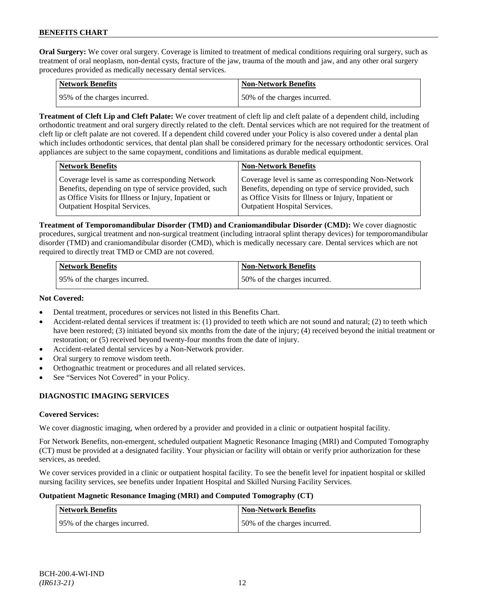**Oral Surgery:** We cover oral surgery. Coverage is limited to treatment of medical conditions requiring oral surgery, such as treatment of oral neoplasm, non-dental cysts, fracture of the jaw, trauma of the mouth and jaw, and any other oral surgery procedures provided as medically necessary dental services.

| Network Benefits             | <b>Non-Network Benefits</b>  |
|------------------------------|------------------------------|
| 95% of the charges incurred. | 50% of the charges incurred. |

**Treatment of Cleft Lip and Cleft Palate:** We cover treatment of cleft lip and cleft palate of a dependent child, including orthodontic treatment and oral surgery directly related to the cleft. Dental services which are not required for the treatment of cleft lip or cleft palate are not covered. If a dependent child covered under your Policy is also covered under a dental plan which includes orthodontic services, that dental plan shall be considered primary for the necessary orthodontic services. Oral appliances are subject to the same copayment, conditions and limitations as durable medical equipment.

| <b>Network Benefits</b>                               | <b>Non-Network Benefits</b>                           |
|-------------------------------------------------------|-------------------------------------------------------|
| Coverage level is same as corresponding Network       | Coverage level is same as corresponding Non-Network   |
| Benefits, depending on type of service provided, such | Benefits, depending on type of service provided, such |
| as Office Visits for Illness or Injury, Inpatient or  | as Office Visits for Illness or Injury, Inpatient or  |
| Outpatient Hospital Services.                         | <b>Outpatient Hospital Services.</b>                  |

**Treatment of Temporomandibular Disorder (TMD) and Craniomandibular Disorder (CMD):** We cover diagnostic procedures, surgical treatment and non-surgical treatment (including intraoral splint therapy devices) for temporomandibular disorder (TMD) and craniomandibular disorder (CMD), which is medically necessary care. Dental services which are not required to directly treat TMD or CMD are not covered.

| <b>Network Benefits</b>      | <b>Non-Network Benefits</b>  |
|------------------------------|------------------------------|
| 95% of the charges incurred. | 50% of the charges incurred. |

### **Not Covered:**

- Dental treatment, procedures or services not listed in this Benefits Chart.
- Accident-related dental services if treatment is: (1) provided to teeth which are not sound and natural; (2) to teeth which have been restored; (3) initiated beyond six months from the date of the injury; (4) received beyond the initial treatment or restoration; or (5) received beyond twenty-four months from the date of injury.
- Accident-related dental services by a Non-Network provider.
- Oral surgery to remove wisdom teeth.
- Orthognathic treatment or procedures and all related services.
- See "Services Not Covered" in your Policy.

# **DIAGNOSTIC IMAGING SERVICES**

### **Covered Services:**

We cover diagnostic imaging, when ordered by a provider and provided in a clinic or outpatient hospital facility.

For Network Benefits, non-emergent, scheduled outpatient Magnetic Resonance Imaging (MRI) and Computed Tomography (CT) must be provided at a designated facility. Your physician or facility will obtain or verify prior authorization for these services, as needed.

We cover services provided in a clinic or outpatient hospital facility. To see the benefit level for inpatient hospital or skilled nursing facility services, see benefits under Inpatient Hospital and Skilled Nursing Facility Services.

### **Outpatient Magnetic Resonance Imaging (MRI) and Computed Tomography (CT)**

| <b>Network Benefits</b>      | <b>Non-Network Benefits</b>  |
|------------------------------|------------------------------|
| 95% of the charges incurred. | 50% of the charges incurred. |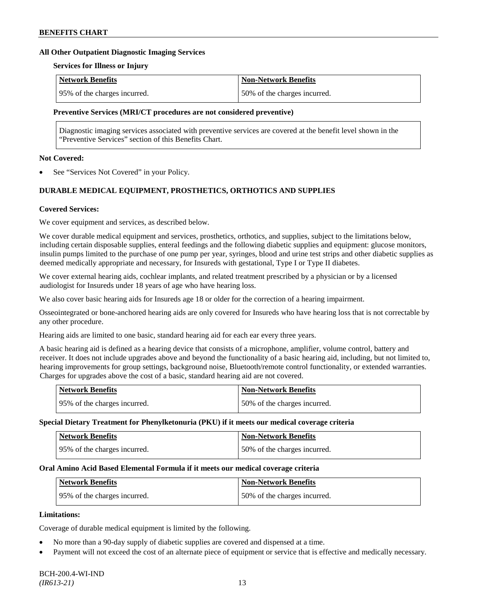#### **All Other Outpatient Diagnostic Imaging Services**

#### **Services for Illness or Injury**

| Network Benefits             | <b>Non-Network Benefits</b>  |
|------------------------------|------------------------------|
| 95% of the charges incurred. | 50% of the charges incurred. |

#### **Preventive Services (MRI/CT procedures are not considered preventive)**

Diagnostic imaging services associated with preventive services are covered at the benefit level shown in the "Preventive Services" section of this Benefits Chart.

#### **Not Covered:**

See "Services Not Covered" in your Policy.

# **DURABLE MEDICAL EQUIPMENT, PROSTHETICS, ORTHOTICS AND SUPPLIES**

#### **Covered Services:**

We cover equipment and services, as described below.

We cover durable medical equipment and services, prosthetics, orthotics, and supplies, subject to the limitations below, including certain disposable supplies, enteral feedings and the following diabetic supplies and equipment: glucose monitors, insulin pumps limited to the purchase of one pump per year, syringes, blood and urine test strips and other diabetic supplies as deemed medically appropriate and necessary, for Insureds with gestational, Type I or Type II diabetes.

We cover external hearing aids, cochlear implants, and related treatment prescribed by a physician or by a licensed audiologist for Insureds under 18 years of age who have hearing loss.

We also cover basic hearing aids for Insureds age 18 or older for the correction of a hearing impairment.

Osseointegrated or bone-anchored hearing aids are only covered for Insureds who have hearing loss that is not correctable by any other procedure.

Hearing aids are limited to one basic, standard hearing aid for each ear every three years.

A basic hearing aid is defined as a hearing device that consists of a microphone, amplifier, volume control, battery and receiver. It does not include upgrades above and beyond the functionality of a basic hearing aid, including, but not limited to, hearing improvements for group settings, background noise, Bluetooth/remote control functionality, or extended warranties. Charges for upgrades above the cost of a basic, standard hearing aid are not covered.

| <b>Network Benefits</b>       | <b>Non-Network Benefits</b>  |
|-------------------------------|------------------------------|
| 195% of the charges incurred. | 50% of the charges incurred. |

#### **Special Dietary Treatment for Phenylketonuria (PKU) if it meets our medical coverage criteria**

| <b>Network Benefits</b>      | <b>Non-Network Benefits</b>  |
|------------------------------|------------------------------|
| 95% of the charges incurred. | 50% of the charges incurred. |

#### **Oral Amino Acid Based Elemental Formula if it meets our medical coverage criteria**

| <b>Network Benefits</b>      | Non-Network Benefits         |
|------------------------------|------------------------------|
| 95% of the charges incurred. | 50% of the charges incurred. |

### **Limitations:**

Coverage of durable medical equipment is limited by the following.

- No more than a 90-day supply of diabetic supplies are covered and dispensed at a time.
- Payment will not exceed the cost of an alternate piece of equipment or service that is effective and medically necessary.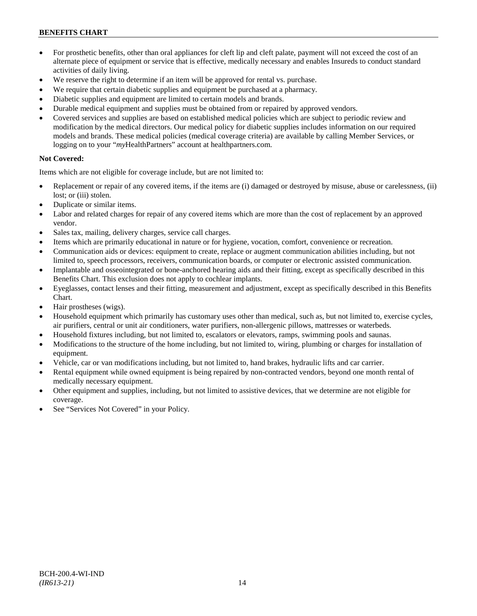- For prosthetic benefits, other than oral appliances for cleft lip and cleft palate, payment will not exceed the cost of an alternate piece of equipment or service that is effective, medically necessary and enables Insureds to conduct standard activities of daily living.
- We reserve the right to determine if an item will be approved for rental vs. purchase.
- We require that certain diabetic supplies and equipment be purchased at a pharmacy.
- Diabetic supplies and equipment are limited to certain models and brands.
- Durable medical equipment and supplies must be obtained from or repaired by approved vendors.
- Covered services and supplies are based on established medical policies which are subject to periodic review and modification by the medical directors. Our medical policy for diabetic supplies includes information on our required models and brands. These medical policies (medical coverage criteria) are available by calling Member Services, or logging on to your "*my*HealthPartners" account at [healthpartners.com.](http://www.healthpartners.com/)

# **Not Covered:**

Items which are not eligible for coverage include, but are not limited to:

- Replacement or repair of any covered items, if the items are (i) damaged or destroyed by misuse, abuse or carelessness, (ii) lost; or (iii) stolen.
- Duplicate or similar items.
- Labor and related charges for repair of any covered items which are more than the cost of replacement by an approved vendor.
- Sales tax, mailing, delivery charges, service call charges.
- Items which are primarily educational in nature or for hygiene, vocation, comfort, convenience or recreation.
- Communication aids or devices: equipment to create, replace or augment communication abilities including, but not limited to, speech processors, receivers, communication boards, or computer or electronic assisted communication.
- Implantable and osseointegrated or bone-anchored hearing aids and their fitting, except as specifically described in this Benefits Chart. This exclusion does not apply to cochlear implants.
- Eyeglasses, contact lenses and their fitting, measurement and adjustment, except as specifically described in this Benefits Chart.
- Hair prostheses (wigs).
- Household equipment which primarily has customary uses other than medical, such as, but not limited to, exercise cycles, air purifiers, central or unit air conditioners, water purifiers, non-allergenic pillows, mattresses or waterbeds.
- Household fixtures including, but not limited to, escalators or elevators, ramps, swimming pools and saunas.
- Modifications to the structure of the home including, but not limited to, wiring, plumbing or charges for installation of equipment.
- Vehicle, car or van modifications including, but not limited to, hand brakes, hydraulic lifts and car carrier.
- Rental equipment while owned equipment is being repaired by non-contracted vendors, beyond one month rental of medically necessary equipment.
- Other equipment and supplies, including, but not limited to assistive devices, that we determine are not eligible for coverage.
- See "Services Not Covered" in your Policy.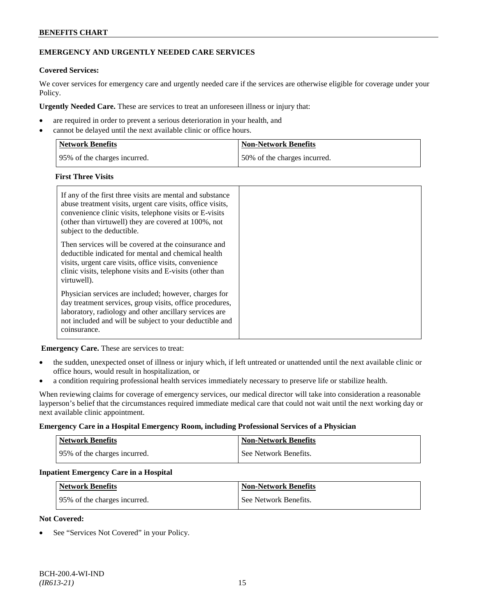# **EMERGENCY AND URGENTLY NEEDED CARE SERVICES**

### **Covered Services:**

We cover services for emergency care and urgently needed care if the services are otherwise eligible for coverage under your Policy.

**Urgently Needed Care.** These are services to treat an unforeseen illness or injury that:

- are required in order to prevent a serious deterioration in your health, and
- cannot be delayed until the next available clinic or office hours.

| Network Benefits              | <b>Non-Network Benefits</b>  |
|-------------------------------|------------------------------|
| 195% of the charges incurred. | 50% of the charges incurred. |

#### **First Three Visits**

| If any of the first three visits are mental and substance<br>abuse treatment visits, urgent care visits, office visits,<br>convenience clinic visits, telephone visits or E-visits<br>(other than virtuwell) they are covered at 100%, not<br>subject to the deductible. |  |
|--------------------------------------------------------------------------------------------------------------------------------------------------------------------------------------------------------------------------------------------------------------------------|--|
| Then services will be covered at the coinsurance and<br>deductible indicated for mental and chemical health<br>visits, urgent care visits, office visits, convenience<br>clinic visits, telephone visits and E-visits (other than<br>virtuwell).                         |  |
| Physician services are included; however, charges for<br>day treatment services, group visits, office procedures,<br>laboratory, radiology and other ancillary services are<br>not included and will be subject to your deductible and<br>coinsurance.                   |  |

**Emergency Care.** These are services to treat:

- the sudden, unexpected onset of illness or injury which, if left untreated or unattended until the next available clinic or office hours, would result in hospitalization, or
- a condition requiring professional health services immediately necessary to preserve life or stabilize health.

When reviewing claims for coverage of emergency services, our medical director will take into consideration a reasonable layperson's belief that the circumstances required immediate medical care that could not wait until the next working day or next available clinic appointment.

#### **Emergency Care in a Hospital Emergency Room, including Professional Services of a Physician**

| <b>Network Benefits</b>      | <b>Non-Network Benefits</b> |
|------------------------------|-----------------------------|
| 95% of the charges incurred. | See Network Benefits.       |

#### **Inpatient Emergency Care in a Hospital**

| <b>Network Benefits</b>      | <b>Non-Network Benefits</b> |
|------------------------------|-----------------------------|
| 95% of the charges incurred. | See Network Benefits.       |

#### **Not Covered:**

See "Services Not Covered" in your Policy.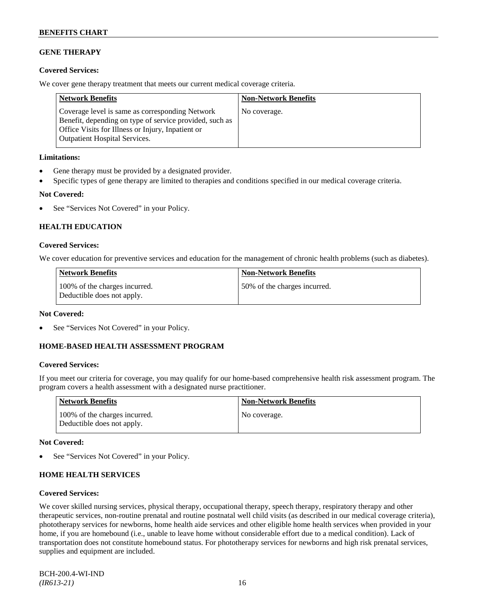# **GENE THERAPY**

### **Covered Services:**

We cover gene therapy treatment that meets our current medical coverage criteria.

| <b>Network Benefits</b>                                                                                                                                                                                 | <b>Non-Network Benefits</b> |
|---------------------------------------------------------------------------------------------------------------------------------------------------------------------------------------------------------|-----------------------------|
| Coverage level is same as corresponding Network<br>Benefit, depending on type of service provided, such as<br>Office Visits for Illness or Injury, Inpatient or<br><b>Outpatient Hospital Services.</b> | No coverage.                |

#### **Limitations:**

- Gene therapy must be provided by a designated provider.
- Specific types of gene therapy are limited to therapies and conditions specified in our medical coverage criteria.

### **Not Covered:**

• See "Services Not Covered" in your Policy.

# **HEALTH EDUCATION**

### **Covered Services:**

We cover education for preventive services and education for the management of chronic health problems (such as diabetes).

| Network Benefits                                            | <b>Non-Network Benefits</b>  |
|-------------------------------------------------------------|------------------------------|
| 100% of the charges incurred.<br>Deductible does not apply. | 50% of the charges incurred. |

### **Not Covered:**

See "Services Not Covered" in your Policy.

### **HOME-BASED HEALTH ASSESSMENT PROGRAM**

# **Covered Services:**

If you meet our criteria for coverage, you may qualify for our home-based comprehensive health risk assessment program. The program covers a health assessment with a designated nurse practitioner.

| <b>Network Benefits</b>                                     | <b>Non-Network Benefits</b> |
|-------------------------------------------------------------|-----------------------------|
| 100% of the charges incurred.<br>Deductible does not apply. | No coverage.                |

### **Not Covered:**

See "Services Not Covered" in your Policy.

### **HOME HEALTH SERVICES**

#### **Covered Services:**

We cover skilled nursing services, physical therapy, occupational therapy, speech therapy, respiratory therapy and other therapeutic services, non-routine prenatal and routine postnatal well child visits (as described in our medical coverage criteria), phototherapy services for newborns, home health aide services and other eligible home health services when provided in your home, if you are homebound (i.e., unable to leave home without considerable effort due to a medical condition). Lack of transportation does not constitute homebound status. For phototherapy services for newborns and high risk prenatal services, supplies and equipment are included.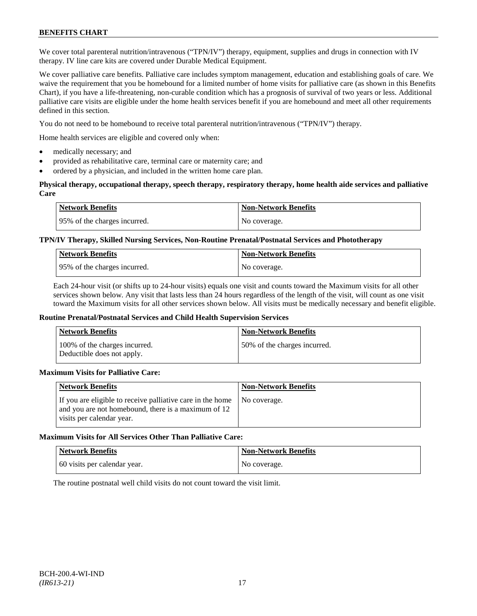We cover total parenteral nutrition/intravenous ("TPN/IV") therapy, equipment, supplies and drugs in connection with IV therapy. IV line care kits are covered under Durable Medical Equipment.

We cover palliative care benefits. Palliative care includes symptom management, education and establishing goals of care. We waive the requirement that you be homebound for a limited number of home visits for palliative care (as shown in this Benefits Chart), if you have a life-threatening, non-curable condition which has a prognosis of survival of two years or less. Additional palliative care visits are eligible under the home health services benefit if you are homebound and meet all other requirements defined in this section.

You do not need to be homebound to receive total parenteral nutrition/intravenous ("TPN/IV") therapy.

Home health services are eligible and covered only when:

- medically necessary; and
- provided as rehabilitative care, terminal care or maternity care; and
- ordered by a physician, and included in the written home care plan.

#### **Physical therapy, occupational therapy, speech therapy, respiratory therapy, home health aide services and palliative Care**

| <b>Network Benefits</b>      | <b>Non-Network Benefits</b> |
|------------------------------|-----------------------------|
| 95% of the charges incurred. | No coverage.                |

### **TPN/IV Therapy, Skilled Nursing Services, Non-Routine Prenatal/Postnatal Services and Phototherapy**

| <b>Network Benefits</b>      | <b>Non-Network Benefits</b> |
|------------------------------|-----------------------------|
| 95% of the charges incurred. | No coverage.                |

Each 24-hour visit (or shifts up to 24-hour visits) equals one visit and counts toward the Maximum visits for all other services shown below. Any visit that lasts less than 24 hours regardless of the length of the visit, will count as one visit toward the Maximum visits for all other services shown below. All visits must be medically necessary and benefit eligible.

#### **Routine Prenatal/Postnatal Services and Child Health Supervision Services**

| <b>Network Benefits</b>                                     | <b>Non-Network Benefits</b>  |
|-------------------------------------------------------------|------------------------------|
| 100% of the charges incurred.<br>Deductible does not apply. | 50% of the charges incurred. |

#### **Maximum Visits for Palliative Care:**

| <b>Network Benefits</b>                                                                                                                        | <b>Non-Network Benefits</b> |
|------------------------------------------------------------------------------------------------------------------------------------------------|-----------------------------|
| If you are eligible to receive palliative care in the home<br>and you are not homebound, there is a maximum of 12<br>visits per calendar year. | No coverage.                |

### **Maximum Visits for All Services Other Than Palliative Care:**

| <b>Network Benefits</b>      | <b>Non-Network Benefits</b> |
|------------------------------|-----------------------------|
| 60 visits per calendar year. | No coverage.                |

The routine postnatal well child visits do not count toward the visit limit.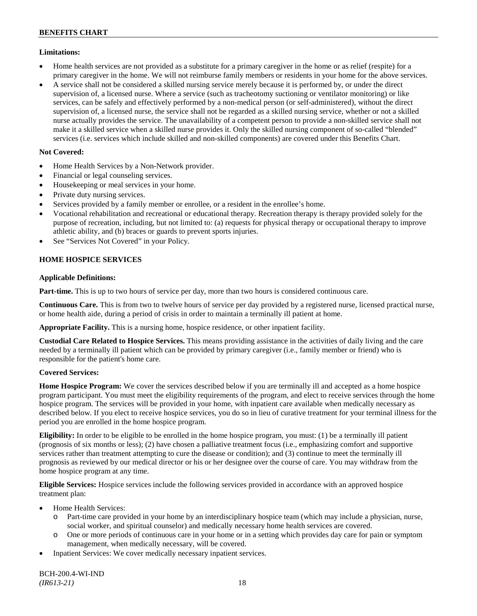### **Limitations:**

- Home health services are not provided as a substitute for a primary caregiver in the home or as relief (respite) for a primary caregiver in the home. We will not reimburse family members or residents in your home for the above services.
- A service shall not be considered a skilled nursing service merely because it is performed by, or under the direct supervision of, a licensed nurse. Where a service (such as tracheotomy suctioning or ventilator monitoring) or like services, can be safely and effectively performed by a non-medical person (or self-administered), without the direct supervision of, a licensed nurse, the service shall not be regarded as a skilled nursing service, whether or not a skilled nurse actually provides the service. The unavailability of a competent person to provide a non-skilled service shall not make it a skilled service when a skilled nurse provides it. Only the skilled nursing component of so-called "blended" services (i.e. services which include skilled and non-skilled components) are covered under this Benefits Chart.

### **Not Covered:**

- Home Health Services by a Non-Network provider.
- Financial or legal counseling services.
- Housekeeping or meal services in your home.
- Private duty nursing services.
- Services provided by a family member or enrollee, or a resident in the enrollee's home.
- Vocational rehabilitation and recreational or educational therapy. Recreation therapy is therapy provided solely for the purpose of recreation, including, but not limited to: (a) requests for physical therapy or occupational therapy to improve athletic ability, and (b) braces or guards to prevent sports injuries.
- See "Services Not Covered" in your Policy.

# **HOME HOSPICE SERVICES**

### **Applicable Definitions:**

**Part-time.** This is up to two hours of service per day, more than two hours is considered continuous care.

**Continuous Care.** This is from two to twelve hours of service per day provided by a registered nurse, licensed practical nurse, or home health aide, during a period of crisis in order to maintain a terminally ill patient at home.

**Appropriate Facility.** This is a nursing home, hospice residence, or other inpatient facility.

**Custodial Care Related to Hospice Services.** This means providing assistance in the activities of daily living and the care needed by a terminally ill patient which can be provided by primary caregiver (i.e., family member or friend) who is responsible for the patient's home care.

### **Covered Services:**

**Home Hospice Program:** We cover the services described below if you are terminally ill and accepted as a home hospice program participant. You must meet the eligibility requirements of the program, and elect to receive services through the home hospice program. The services will be provided in your home, with inpatient care available when medically necessary as described below. If you elect to receive hospice services, you do so in lieu of curative treatment for your terminal illness for the period you are enrolled in the home hospice program.

**Eligibility:** In order to be eligible to be enrolled in the home hospice program, you must: (1) be a terminally ill patient (prognosis of six months or less); (2) have chosen a palliative treatment focus (i.e., emphasizing comfort and supportive services rather than treatment attempting to cure the disease or condition); and (3) continue to meet the terminally ill prognosis as reviewed by our medical director or his or her designee over the course of care. You may withdraw from the home hospice program at any time.

**Eligible Services:** Hospice services include the following services provided in accordance with an approved hospice treatment plan:

- Home Health Services:
	- o Part-time care provided in your home by an interdisciplinary hospice team (which may include a physician, nurse, social worker, and spiritual counselor) and medically necessary home health services are covered.
	- o One or more periods of continuous care in your home or in a setting which provides day care for pain or symptom management, when medically necessary, will be covered.
- Inpatient Services: We cover medically necessary inpatient services.

BCH-200.4-WI-IND *(IR613-21)* 18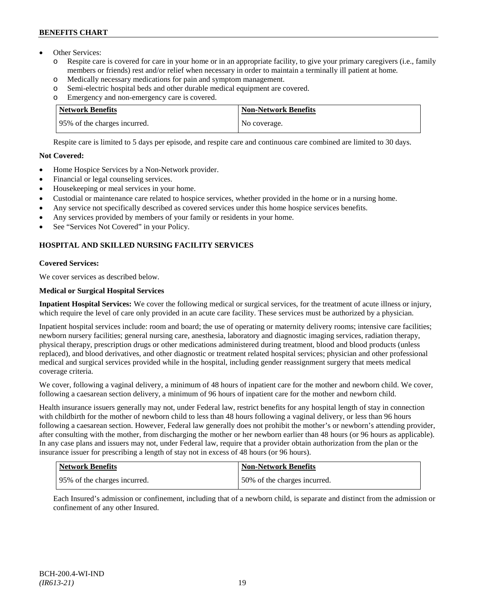- Other Services:
	- o Respite care is covered for care in your home or in an appropriate facility, to give your primary caregivers (i.e., family members or friends) rest and/or relief when necessary in order to maintain a terminally ill patient at home*.*
	- o Medically necessary medications for pain and symptom management.
	- o Semi-electric hospital beds and other durable medical equipment are covered.
	- o Emergency and non-emergency care is covered.

| <b>Network Benefits</b>       | <b>Non-Network Benefits</b> |
|-------------------------------|-----------------------------|
| 195% of the charges incurred. | No coverage.                |

Respite care is limited to 5 days per episode, and respite care and continuous care combined are limited to 30 days.

### **Not Covered:**

- Home Hospice Services by a Non-Network provider.
- Financial or legal counseling services.
- Housekeeping or meal services in your home.
- Custodial or maintenance care related to hospice services, whether provided in the home or in a nursing home.
- Any service not specifically described as covered services under this home hospice services benefits.
- Any services provided by members of your family or residents in your home.
- See "Services Not Covered" in your Policy.

# **HOSPITAL AND SKILLED NURSING FACILITY SERVICES**

# **Covered Services:**

We cover services as described below.

# **Medical or Surgical Hospital Services**

**Inpatient Hospital Services:** We cover the following medical or surgical services, for the treatment of acute illness or injury, which require the level of care only provided in an acute care facility. These services must be authorized by a physician.

Inpatient hospital services include: room and board; the use of operating or maternity delivery rooms; intensive care facilities; newborn nursery facilities; general nursing care, anesthesia, laboratory and diagnostic imaging services, radiation therapy, physical therapy, prescription drugs or other medications administered during treatment, blood and blood products (unless replaced), and blood derivatives, and other diagnostic or treatment related hospital services; physician and other professional medical and surgical services provided while in the hospital, including gender reassignment surgery that meets medical coverage criteria.

We cover, following a vaginal delivery, a minimum of 48 hours of inpatient care for the mother and newborn child. We cover, following a caesarean section delivery, a minimum of 96 hours of inpatient care for the mother and newborn child.

Health insurance issuers generally may not, under Federal law, restrict benefits for any hospital length of stay in connection with childbirth for the mother of newborn child to less than 48 hours following a vaginal delivery, or less than 96 hours following a caesarean section. However, Federal law generally does not prohibit the mother's or newborn's attending provider, after consulting with the mother, from discharging the mother or her newborn earlier than 48 hours (or 96 hours as applicable). In any case plans and issuers may not, under Federal law, require that a provider obtain authorization from the plan or the insurance issuer for prescribing a length of stay not in excess of 48 hours (or 96 hours).

| Network Benefits              | <b>Non-Network Benefits</b>  |
|-------------------------------|------------------------------|
| 195% of the charges incurred. | 50% of the charges incurred. |

Each Insured's admission or confinement, including that of a newborn child, is separate and distinct from the admission or confinement of any other Insured.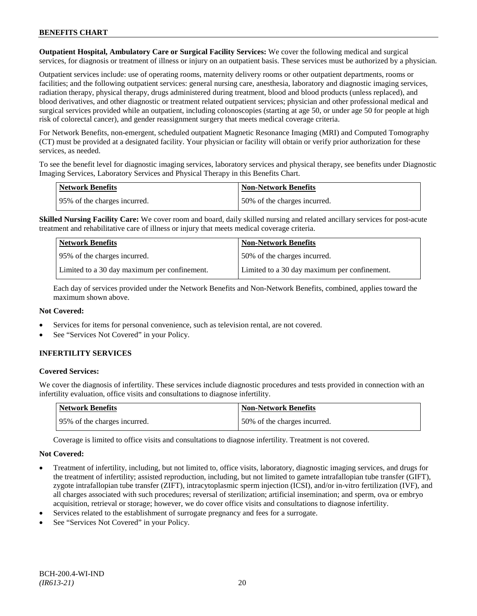**Outpatient Hospital, Ambulatory Care or Surgical Facility Services:** We cover the following medical and surgical services, for diagnosis or treatment of illness or injury on an outpatient basis. These services must be authorized by a physician.

Outpatient services include: use of operating rooms, maternity delivery rooms or other outpatient departments, rooms or facilities; and the following outpatient services: general nursing care, anesthesia, laboratory and diagnostic imaging services, radiation therapy, physical therapy, drugs administered during treatment, blood and blood products (unless replaced), and blood derivatives, and other diagnostic or treatment related outpatient services; physician and other professional medical and surgical services provided while an outpatient, including colonoscopies (starting at age 50, or under age 50 for people at high risk of colorectal cancer), and gender reassignment surgery that meets medical coverage criteria.

For Network Benefits, non-emergent, scheduled outpatient Magnetic Resonance Imaging (MRI) and Computed Tomography (CT) must be provided at a designated facility. Your physician or facility will obtain or verify prior authorization for these services, as needed.

To see the benefit level for diagnostic imaging services, laboratory services and physical therapy, see benefits under Diagnostic Imaging Services, Laboratory Services and Physical Therapy in this Benefits Chart.

| <b>Network Benefits</b>       | Non-Network Benefits         |
|-------------------------------|------------------------------|
| 195% of the charges incurred. | 50% of the charges incurred. |

**Skilled Nursing Facility Care:** We cover room and board, daily skilled nursing and related ancillary services for post-acute treatment and rehabilitative care of illness or injury that meets medical coverage criteria.

| <b>Network Benefits</b>                      | <b>Non-Network Benefits</b>                  |
|----------------------------------------------|----------------------------------------------|
| 195% of the charges incurred.                | 50% of the charges incurred.                 |
| Limited to a 30 day maximum per confinement. | Limited to a 30 day maximum per confinement. |

Each day of services provided under the Network Benefits and Non-Network Benefits, combined, applies toward the maximum shown above.

### **Not Covered:**

- Services for items for personal convenience, such as television rental, are not covered.
- See "Services Not Covered" in your Policy.

# **INFERTILITY SERVICES**

### **Covered Services:**

We cover the diagnosis of infertility. These services include diagnostic procedures and tests provided in connection with an infertility evaluation, office visits and consultations to diagnose infertility.

| Network Benefits             | <b>Non-Network Benefits</b>  |
|------------------------------|------------------------------|
| 95% of the charges incurred. | 50% of the charges incurred. |

Coverage is limited to office visits and consultations to diagnose infertility. Treatment is not covered.

- Treatment of infertility, including, but not limited to, office visits, laboratory, diagnostic imaging services, and drugs for the treatment of infertility; assisted reproduction, including, but not limited to gamete intrafallopian tube transfer (GIFT), zygote intrafallopian tube transfer (ZIFT), intracytoplasmic sperm injection (ICSI), and/or in-vitro fertilization (IVF), and all charges associated with such procedures; reversal of sterilization; artificial insemination; and sperm, ova or embryo acquisition, retrieval or storage; however, we do cover office visits and consultations to diagnose infertility.
- Services related to the establishment of surrogate pregnancy and fees for a surrogate.
- See "Services Not Covered" in your Policy.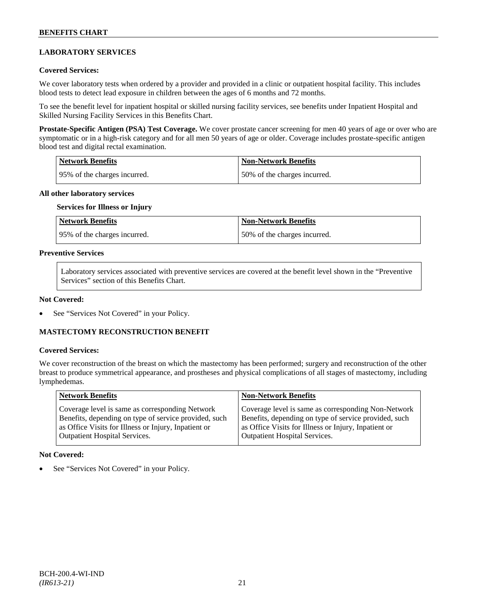# **LABORATORY SERVICES**

#### **Covered Services:**

We cover laboratory tests when ordered by a provider and provided in a clinic or outpatient hospital facility. This includes blood tests to detect lead exposure in children between the ages of 6 months and 72 months.

To see the benefit level for inpatient hospital or skilled nursing facility services, see benefits under Inpatient Hospital and Skilled Nursing Facility Services in this Benefits Chart.

**Prostate-Specific Antigen (PSA) Test Coverage.** We cover prostate cancer screening for men 40 years of age or over who are symptomatic or in a high-risk category and for all men 50 years of age or older. Coverage includes prostate-specific antigen blood test and digital rectal examination.

| <b>Network Benefits</b>       | Non-Network Benefits         |
|-------------------------------|------------------------------|
| 195% of the charges incurred. | 50% of the charges incurred. |

#### **All other laboratory services**

#### **Services for Illness or Injury**

| <b>Network Benefits</b>      | <b>Non-Network Benefits</b>  |
|------------------------------|------------------------------|
| 95% of the charges incurred. | 50% of the charges incurred. |

#### **Preventive Services**

Laboratory services associated with preventive services are covered at the benefit level shown in the "Preventive Services" section of this Benefits Chart.

#### **Not Covered:**

See "Services Not Covered" in your Policy.

# **MASTECTOMY RECONSTRUCTION BENEFIT**

#### **Covered Services:**

We cover reconstruction of the breast on which the mastectomy has been performed; surgery and reconstruction of the other breast to produce symmetrical appearance, and prostheses and physical complications of all stages of mastectomy, including lymphedemas.

|                                                                                                                                                                                                                                                                                                          | <b>Network Benefits</b> | <b>Non-Network Benefits</b>                                                                                  |
|----------------------------------------------------------------------------------------------------------------------------------------------------------------------------------------------------------------------------------------------------------------------------------------------------------|-------------------------|--------------------------------------------------------------------------------------------------------------|
| Coverage level is same as corresponding Network<br>Benefits, depending on type of service provided, such<br>as Office Visits for Illness or Injury, Inpatient or<br>as Office Visits for Illness or Injury, Inpatient or<br><b>Outpatient Hospital Services.</b><br><b>Outpatient Hospital Services.</b> |                         | Coverage level is same as corresponding Non-Network<br>Benefits, depending on type of service provided, such |

#### **Not Covered:**

See "Services Not Covered" in your Policy.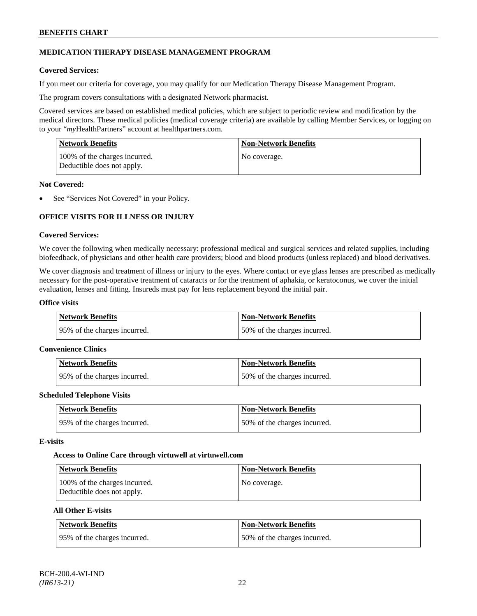### **MEDICATION THERAPY DISEASE MANAGEMENT PROGRAM**

#### **Covered Services:**

If you meet our criteria for coverage, you may qualify for our Medication Therapy Disease Management Program.

The program covers consultations with a designated Network pharmacist.

Covered services are based on established medical policies, which are subject to periodic review and modification by the medical directors. These medical policies (medical coverage criteria) are available by calling Member Services, or logging on to your "*my*HealthPartners" account at [healthpartners.com.](http://www.healthpartners.com/)

| <b>Network Benefits</b>                                     | <b>Non-Network Benefits</b> |
|-------------------------------------------------------------|-----------------------------|
| 100% of the charges incurred.<br>Deductible does not apply. | No coverage.                |

#### **Not Covered:**

See "Services Not Covered" in your Policy.

# **OFFICE VISITS FOR ILLNESS OR INJURY**

#### **Covered Services:**

We cover the following when medically necessary: professional medical and surgical services and related supplies, including biofeedback, of physicians and other health care providers; blood and blood products (unless replaced) and blood derivatives.

We cover diagnosis and treatment of illness or injury to the eyes. Where contact or eye glass lenses are prescribed as medically necessary for the post-operative treatment of cataracts or for the treatment of aphakia, or keratoconus, we cover the initial evaluation, lenses and fitting. Insureds must pay for lens replacement beyond the initial pair.

#### **Office visits**

| Network Benefits              | Non-Network Benefits         |
|-------------------------------|------------------------------|
| 195% of the charges incurred. | 50% of the charges incurred. |

#### **Convenience Clinics**

| Network Benefits              | <b>Non-Network Benefits</b>  |
|-------------------------------|------------------------------|
| 195% of the charges incurred. | 50% of the charges incurred. |

#### **Scheduled Telephone Visits**

| <b>Network Benefits</b>      | <b>Non-Network Benefits</b>  |
|------------------------------|------------------------------|
| 95% of the charges incurred. | 50% of the charges incurred. |

#### **E-visits**

#### **Access to Online Care through virtuwell a[t virtuwell.com](http://www.virtuwell.com/)**

| Network Benefits                                            | Non-Network Benefits |
|-------------------------------------------------------------|----------------------|
| 100% of the charges incurred.<br>Deductible does not apply. | No coverage.         |

### **All Other E-visits**

| Network Benefits             | <b>Non-Network Benefits</b>  |
|------------------------------|------------------------------|
| 95% of the charges incurred. | 50% of the charges incurred. |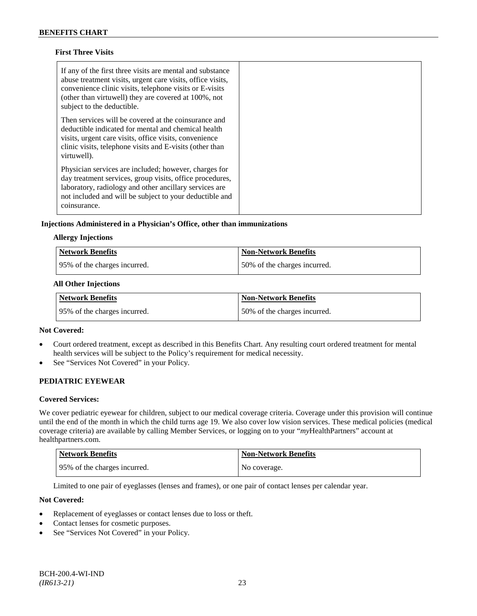### **First Three Visits**

| If any of the first three visits are mental and substance<br>abuse treatment visits, urgent care visits, office visits,<br>convenience clinic visits, telephone visits or E-visits<br>(other than virtuwell) they are covered at 100%, not<br>subject to the deductible. |  |
|--------------------------------------------------------------------------------------------------------------------------------------------------------------------------------------------------------------------------------------------------------------------------|--|
| Then services will be covered at the coinsurance and<br>deductible indicated for mental and chemical health<br>visits, urgent care visits, office visits, convenience<br>clinic visits, telephone visits and E-visits (other than<br>virtuwell).                         |  |
| Physician services are included; however, charges for<br>day treatment services, group visits, office procedures,<br>laboratory, radiology and other ancillary services are<br>not included and will be subject to your deductible and<br>coinsurance.                   |  |

#### **Injections Administered in a Physician's Office, other than immunizations**

#### **Allergy Injections**

| Network Benefits             | <b>Non-Network Benefits</b>  |
|------------------------------|------------------------------|
| 95% of the charges incurred. | 50% of the charges incurred. |

#### **All Other Injections**

| Network Benefits              | <b>Non-Network Benefits</b>  |
|-------------------------------|------------------------------|
| 195% of the charges incurred. | 50% of the charges incurred. |

#### **Not Covered:**

- Court ordered treatment, except as described in this Benefits Chart. Any resulting court ordered treatment for mental health services will be subject to the Policy's requirement for medical necessity.
- See "Services Not Covered" in your Policy.

# **PEDIATRIC EYEWEAR**

#### **Covered Services:**

We cover pediatric eyewear for children, subject to our medical coverage criteria. Coverage under this provision will continue until the end of the month in which the child turns age 19. We also cover low vision services. These medical policies (medical coverage criteria) are available by calling Member Services, or logging on to your "*my*HealthPartners" account at [healthpartners.com.](http://www.healthpartners.com/)

| Network Benefits              | Non-Network Benefits |
|-------------------------------|----------------------|
| 195% of the charges incurred. | No coverage.         |

Limited to one pair of eyeglasses (lenses and frames), or one pair of contact lenses per calendar year.

- Replacement of eyeglasses or contact lenses due to loss or theft.
- Contact lenses for cosmetic purposes.
- See "Services Not Covered" in your Policy.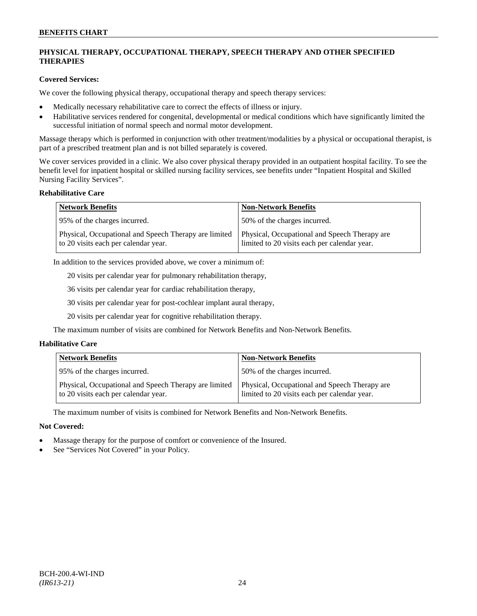# **PHYSICAL THERAPY, OCCUPATIONAL THERAPY, SPEECH THERAPY AND OTHER SPECIFIED THERAPIES**

### **Covered Services:**

We cover the following physical therapy, occupational therapy and speech therapy services:

- Medically necessary rehabilitative care to correct the effects of illness or injury.
- Habilitative services rendered for congenital, developmental or medical conditions which have significantly limited the successful initiation of normal speech and normal motor development.

Massage therapy which is performed in conjunction with other treatment/modalities by a physical or occupational therapist, is part of a prescribed treatment plan and is not billed separately is covered.

We cover services provided in a clinic. We also cover physical therapy provided in an outpatient hospital facility. To see the benefit level for inpatient hospital or skilled nursing facility services, see benefits under "Inpatient Hospital and Skilled Nursing Facility Services".

#### **Rehabilitative Care**

| <b>Network Benefits</b>                                                                       | <b>Non-Network Benefits</b>                                                                   |
|-----------------------------------------------------------------------------------------------|-----------------------------------------------------------------------------------------------|
| 95% of the charges incurred.                                                                  | 50% of the charges incurred.                                                                  |
| Physical, Occupational and Speech Therapy are limited<br>to 20 visits each per calendar year. | Physical, Occupational and Speech Therapy are<br>limited to 20 visits each per calendar year. |

In addition to the services provided above, we cover a minimum of:

20 visits per calendar year for pulmonary rehabilitation therapy,

36 visits per calendar year for cardiac rehabilitation therapy,

30 visits per calendar year for post-cochlear implant aural therapy,

20 visits per calendar year for cognitive rehabilitation therapy.

The maximum number of visits are combined for Network Benefits and Non-Network Benefits.

### **Habilitative Care**

| <b>Network Benefits</b>                                                                       | <b>Non-Network Benefits</b>                                                                   |
|-----------------------------------------------------------------------------------------------|-----------------------------------------------------------------------------------------------|
| 95% of the charges incurred.                                                                  | 50% of the charges incurred.                                                                  |
| Physical, Occupational and Speech Therapy are limited<br>to 20 visits each per calendar year. | Physical, Occupational and Speech Therapy are<br>limited to 20 visits each per calendar year. |

The maximum number of visits is combined for Network Benefits and Non-Network Benefits.

- Massage therapy for the purpose of comfort or convenience of the Insured.
- See "Services Not Covered" in your Policy.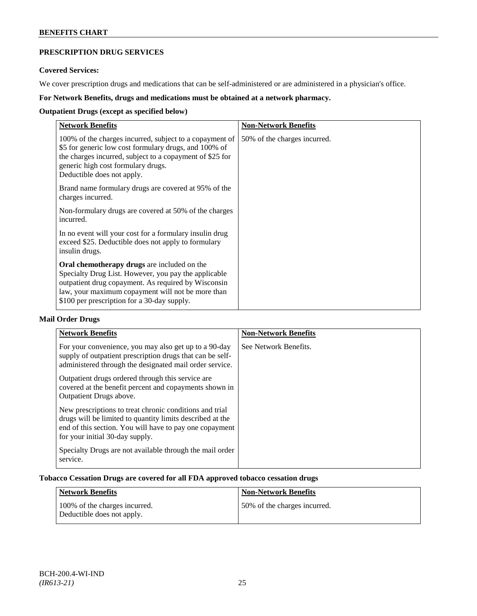# **PRESCRIPTION DRUG SERVICES**

### **Covered Services:**

We cover prescription drugs and medications that can be self-administered or are administered in a physician's office.

# **For Network Benefits, drugs and medications must be obtained at a network pharmacy.**

# **Outpatient Drugs (except as specified below)**

| <b>Network Benefits</b>                                                                                                                                                                                                                                               | <b>Non-Network Benefits</b>  |
|-----------------------------------------------------------------------------------------------------------------------------------------------------------------------------------------------------------------------------------------------------------------------|------------------------------|
| 100% of the charges incurred, subject to a copayment of<br>\$5 for generic low cost formulary drugs, and 100% of<br>the charges incurred, subject to a copayment of \$25 for<br>generic high cost formulary drugs.<br>Deductible does not apply.                      | 50% of the charges incurred. |
| Brand name formulary drugs are covered at 95% of the<br>charges incurred.                                                                                                                                                                                             |                              |
| Non-formulary drugs are covered at 50% of the charges<br>incurred.                                                                                                                                                                                                    |                              |
| In no event will your cost for a formulary insulin drug<br>exceed \$25. Deductible does not apply to formulary<br>insulin drugs.                                                                                                                                      |                              |
| <b>Oral chemotherapy drugs</b> are included on the<br>Specialty Drug List. However, you pay the applicable<br>outpatient drug copayment. As required by Wisconsin<br>law, your maximum copayment will not be more than<br>\$100 per prescription for a 30-day supply. |                              |

# **Mail Order Drugs**

| <b>Network Benefits</b>                                                                                                                                                                                            | <b>Non-Network Benefits</b> |
|--------------------------------------------------------------------------------------------------------------------------------------------------------------------------------------------------------------------|-----------------------------|
| For your convenience, you may also get up to a 90-day<br>supply of outpatient prescription drugs that can be self-<br>administered through the designated mail order service.                                      | See Network Benefits.       |
| Outpatient drugs ordered through this service are.<br>covered at the benefit percent and copayments shown in<br>Outpatient Drugs above.                                                                            |                             |
| New prescriptions to treat chronic conditions and trial<br>drugs will be limited to quantity limits described at the<br>end of this section. You will have to pay one copayment<br>for your initial 30-day supply. |                             |
| Specialty Drugs are not available through the mail order<br>service.                                                                                                                                               |                             |

### **Tobacco Cessation Drugs are covered for all FDA approved tobacco cessation drugs**

| Network Benefits                                            | <b>Non-Network Benefits</b>  |
|-------------------------------------------------------------|------------------------------|
| 100% of the charges incurred.<br>Deductible does not apply. | 50% of the charges incurred. |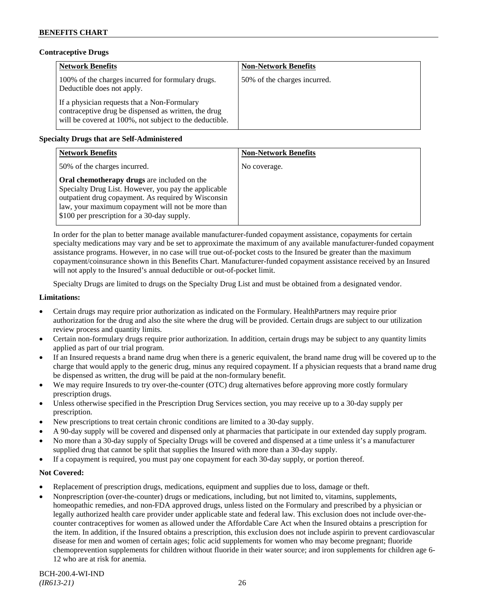### **Contraceptive Drugs**

| <b>Network Benefits</b>                                                                                                                                         | <b>Non-Network Benefits</b>  |
|-----------------------------------------------------------------------------------------------------------------------------------------------------------------|------------------------------|
| 100% of the charges incurred for formulary drugs.<br>Deductible does not apply.                                                                                 | 50% of the charges incurred. |
| If a physician requests that a Non-Formulary<br>contraceptive drug be dispensed as written, the drug<br>will be covered at 100%, not subject to the deductible. |                              |

# **Specialty Drugs that are Self-Administered**

| <b>Network Benefits</b>                                                                                                                                                                                                                                        | <b>Non-Network Benefits</b> |
|----------------------------------------------------------------------------------------------------------------------------------------------------------------------------------------------------------------------------------------------------------------|-----------------------------|
| 50% of the charges incurred.                                                                                                                                                                                                                                   | No coverage.                |
| Oral chemotherapy drugs are included on the<br>Specialty Drug List. However, you pay the applicable<br>outpatient drug copayment. As required by Wisconsin<br>law, your maximum copayment will not be more than<br>\$100 per prescription for a 30-day supply. |                             |

In order for the plan to better manage available manufacturer-funded copayment assistance, copayments for certain specialty medications may vary and be set to approximate the maximum of any available manufacturer-funded copayment assistance programs. However, in no case will true out-of-pocket costs to the Insured be greater than the maximum copayment/coinsurance shown in this Benefits Chart. Manufacturer-funded copayment assistance received by an Insured will not apply to the Insured's annual deductible or out-of-pocket limit.

Specialty Drugs are limited to drugs on the Specialty Drug List and must be obtained from a designated vendor.

#### **Limitations:**

- Certain drugs may require prior authorization as indicated on the Formulary. HealthPartners may require prior authorization for the drug and also the site where the drug will be provided. Certain drugs are subject to our utilization review process and quantity limits.
- Certain non-formulary drugs require prior authorization. In addition, certain drugs may be subject to any quantity limits applied as part of our trial program.
- If an Insured requests a brand name drug when there is a generic equivalent, the brand name drug will be covered up to the charge that would apply to the generic drug, minus any required copayment. If a physician requests that a brand name drug be dispensed as written, the drug will be paid at the non-formulary benefit.
- We may require Insureds to try over-the-counter (OTC) drug alternatives before approving more costly formulary prescription drugs.
- Unless otherwise specified in the Prescription Drug Services section, you may receive up to a 30-day supply per prescription.
- New prescriptions to treat certain chronic conditions are limited to a 30-day supply.
- A 90-day supply will be covered and dispensed only at pharmacies that participate in our extended day supply program.
- No more than a 30-day supply of Specialty Drugs will be covered and dispensed at a time unless it's a manufacturer supplied drug that cannot be split that supplies the Insured with more than a 30-day supply.
- If a copayment is required, you must pay one copayment for each 30-day supply, or portion thereof.

- Replacement of prescription drugs, medications, equipment and supplies due to loss, damage or theft.
- Nonprescription (over-the-counter) drugs or medications, including, but not limited to, vitamins, supplements, homeopathic remedies, and non-FDA approved drugs, unless listed on the Formulary and prescribed by a physician or legally authorized health care provider under applicable state and federal law. This exclusion does not include over-thecounter contraceptives for women as allowed under the Affordable Care Act when the Insured obtains a prescription for the item. In addition, if the Insured obtains a prescription, this exclusion does not include aspirin to prevent cardiovascular disease for men and women of certain ages; folic acid supplements for women who may become pregnant; fluoride chemoprevention supplements for children without fluoride in their water source; and iron supplements for children age 6- 12 who are at risk for anemia.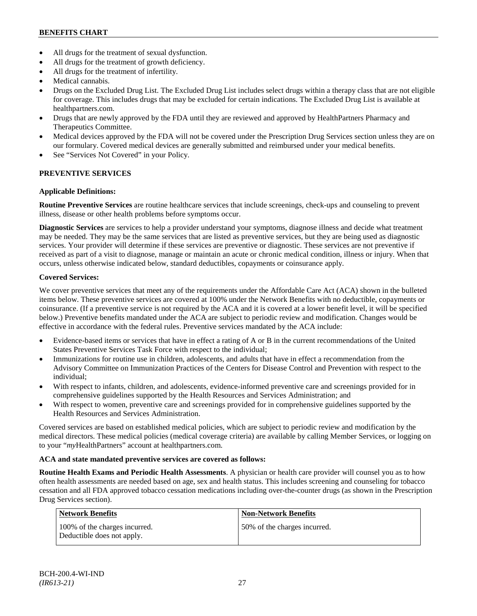- All drugs for the treatment of sexual dysfunction.
- All drugs for the treatment of growth deficiency.
- All drugs for the treatment of infertility.
- Medical cannabis.
- Drugs on the Excluded Drug List. The Excluded Drug List includes select drugs within a therapy class that are not eligible for coverage. This includes drugs that may be excluded for certain indications. The Excluded Drug List is available at [healthpartners.com.](http://www.healthpartners.com/)
- Drugs that are newly approved by the FDA until they are reviewed and approved by HealthPartners Pharmacy and Therapeutics Committee.
- Medical devices approved by the FDA will not be covered under the Prescription Drug Services section unless they are on our formulary. Covered medical devices are generally submitted and reimbursed under your medical benefits.
- See "Services Not Covered" in your Policy.

# **PREVENTIVE SERVICES**

### **Applicable Definitions:**

**Routine Preventive Services** are routine healthcare services that include screenings, check-ups and counseling to prevent illness, disease or other health problems before symptoms occur.

**Diagnostic Services** are services to help a provider understand your symptoms, diagnose illness and decide what treatment may be needed. They may be the same services that are listed as preventive services, but they are being used as diagnostic services. Your provider will determine if these services are preventive or diagnostic. These services are not preventive if received as part of a visit to diagnose, manage or maintain an acute or chronic medical condition, illness or injury. When that occurs, unless otherwise indicated below, standard deductibles, copayments or coinsurance apply.

### **Covered Services:**

We cover preventive services that meet any of the requirements under the Affordable Care Act (ACA) shown in the bulleted items below. These preventive services are covered at 100% under the Network Benefits with no deductible, copayments or coinsurance. (If a preventive service is not required by the ACA and it is covered at a lower benefit level, it will be specified below.) Preventive benefits mandated under the ACA are subject to periodic review and modification. Changes would be effective in accordance with the federal rules. Preventive services mandated by the ACA include:

- Evidence-based items or services that have in effect a rating of A or B in the current recommendations of the United States Preventive Services Task Force with respect to the individual;
- Immunizations for routine use in children, adolescents, and adults that have in effect a recommendation from the Advisory Committee on Immunization Practices of the Centers for Disease Control and Prevention with respect to the individual;
- With respect to infants, children, and adolescents, evidence-informed preventive care and screenings provided for in comprehensive guidelines supported by the Health Resources and Services Administration; and
- With respect to women, preventive care and screenings provided for in comprehensive guidelines supported by the Health Resources and Services Administration.

Covered services are based on established medical policies, which are subject to periodic review and modification by the medical directors. These medical policies (medical coverage criteria) are available by calling Member Services, or logging on to your "*my*HealthPartners" account at [healthpartners.com.](http://www.healthpartners.com/)

### **ACA and state mandated preventive services are covered as follows:**

**Routine Health Exams and Periodic Health Assessments**. A physician or health care provider will counsel you as to how often health assessments are needed based on age, sex and health status. This includes screening and counseling for tobacco cessation and all FDA approved tobacco cessation medications including over-the-counter drugs (as shown in the Prescription Drug Services section).

| Network Benefits                                            | <b>Non-Network Benefits</b>  |
|-------------------------------------------------------------|------------------------------|
| 100% of the charges incurred.<br>Deductible does not apply. | 50% of the charges incurred. |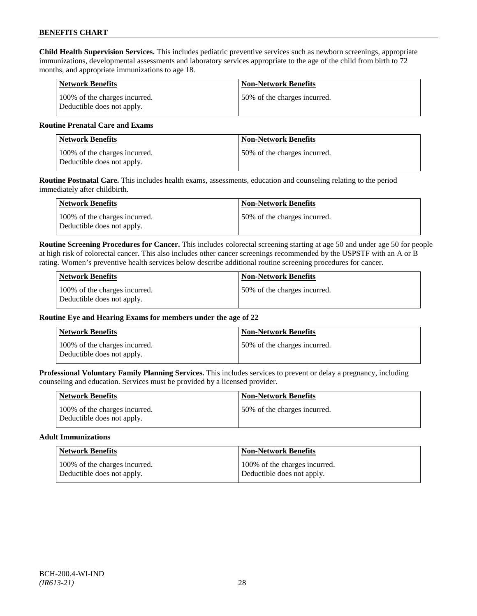**Child Health Supervision Services.** This includes pediatric preventive services such as newborn screenings, appropriate immunizations, developmental assessments and laboratory services appropriate to the age of the child from birth to 72 months, and appropriate immunizations to age 18.

| <b>Network Benefits</b>                                     | <b>Non-Network Benefits</b>  |
|-------------------------------------------------------------|------------------------------|
| 100% of the charges incurred.<br>Deductible does not apply. | 50% of the charges incurred. |

#### **Routine Prenatal Care and Exams**

| <b>Network Benefits</b>                                     | <b>Non-Network Benefits</b>   |
|-------------------------------------------------------------|-------------------------------|
| 100% of the charges incurred.<br>Deductible does not apply. | 150% of the charges incurred. |

**Routine Postnatal Care.** This includes health exams, assessments, education and counseling relating to the period immediately after childbirth.

| Network Benefits                                            | <b>Non-Network Benefits</b>  |
|-------------------------------------------------------------|------------------------------|
| 100% of the charges incurred.<br>Deductible does not apply. | 50% of the charges incurred. |

**Routine Screening Procedures for Cancer.** This includes colorectal screening starting at age 50 and under age 50 for people at high risk of colorectal cancer. This also includes other cancer screenings recommended by the USPSTF with an A or B rating. Women's preventive health services below describe additional routine screening procedures for cancer.

| Network Benefits                                            | <b>Non-Network Benefits</b>  |
|-------------------------------------------------------------|------------------------------|
| 100% of the charges incurred.<br>Deductible does not apply. | 50% of the charges incurred. |

### **Routine Eye and Hearing Exams for members under the age of 22**

| <b>Network Benefits</b>                                     | <b>Non-Network Benefits</b>  |
|-------------------------------------------------------------|------------------------------|
| 100% of the charges incurred.<br>Deductible does not apply. | 50% of the charges incurred. |

**Professional Voluntary Family Planning Services.** This includes services to prevent or delay a pregnancy, including counseling and education. Services must be provided by a licensed provider.

| <b>Network Benefits</b>                                     | <b>Non-Network Benefits</b>   |
|-------------------------------------------------------------|-------------------------------|
| 100% of the charges incurred.<br>Deductible does not apply. | 150% of the charges incurred. |

#### **Adult Immunizations**

| <b>Network Benefits</b>       | <b>Non-Network Benefits</b>   |
|-------------------------------|-------------------------------|
| 100% of the charges incurred. | 100% of the charges incurred. |
| Deductible does not apply.    | Deductible does not apply.    |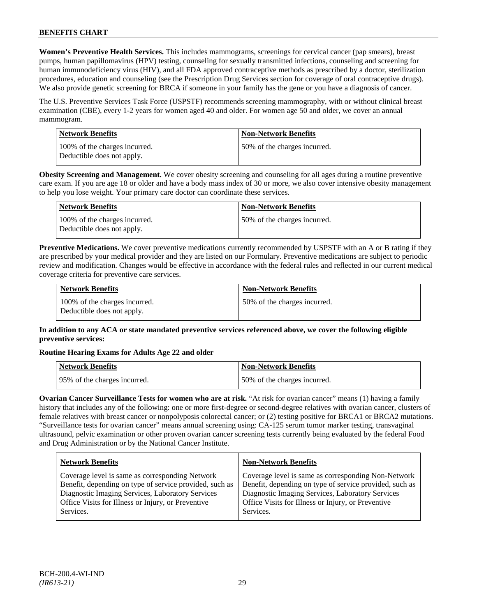**Women's Preventive Health Services.** This includes mammograms, screenings for cervical cancer (pap smears), breast pumps, human papillomavirus (HPV) testing, counseling for sexually transmitted infections, counseling and screening for human immunodeficiency virus (HIV), and all FDA approved contraceptive methods as prescribed by a doctor, sterilization procedures, education and counseling (see the Prescription Drug Services section for coverage of oral contraceptive drugs). We also provide genetic screening for BRCA if someone in your family has the gene or you have a diagnosis of cancer.

The U.S. Preventive Services Task Force (USPSTF) recommends screening mammography, with or without clinical breast examination (CBE), every 1-2 years for women aged 40 and older. For women age 50 and older, we cover an annual mammogram.

| Network Benefits                                            | <b>Non-Network Benefits</b>   |
|-------------------------------------------------------------|-------------------------------|
| 100% of the charges incurred.<br>Deductible does not apply. | 150% of the charges incurred. |

**Obesity Screening and Management.** We cover obesity screening and counseling for all ages during a routine preventive care exam. If you are age 18 or older and have a body mass index of 30 or more, we also cover intensive obesity management to help you lose weight. Your primary care doctor can coordinate these services.

| Network Benefits                                            | <b>Non-Network Benefits</b>  |
|-------------------------------------------------------------|------------------------------|
| 100% of the charges incurred.<br>Deductible does not apply. | 50% of the charges incurred. |

**Preventive Medications.** We cover preventive medications currently recommended by USPSTF with an A or B rating if they are prescribed by your medical provider and they are listed on our Formulary. Preventive medications are subject to periodic review and modification. Changes would be effective in accordance with the federal rules and reflected in our current medical coverage criteria for preventive care services.

| <b>Network Benefits</b>                                     | <b>Non-Network Benefits</b>  |
|-------------------------------------------------------------|------------------------------|
| 100% of the charges incurred.<br>Deductible does not apply. | 50% of the charges incurred. |

# **In addition to any ACA or state mandated preventive services referenced above, we cover the following eligible preventive services:**

### **Routine Hearing Exams for Adults Age 22 and older**

| Network Benefits              | <b>Non-Network Benefits</b>  |
|-------------------------------|------------------------------|
| 195% of the charges incurred. | 50% of the charges incurred. |

**Ovarian Cancer Surveillance Tests for women who are at risk.** "At risk for ovarian cancer" means (1) having a family history that includes any of the following: one or more first-degree or second-degree relatives with ovarian cancer, clusters of female relatives with breast cancer or nonpolyposis colorectal cancer; or (2) testing positive for BRCA1 or BRCA2 mutations. "Surveillance tests for ovarian cancer" means annual screening using: CA-125 serum tumor marker testing, transvaginal ultrasound, pelvic examination or other proven ovarian cancer screening tests currently being evaluated by the federal Food and Drug Administration or by the National Cancer Institute.

| <b>Network Benefits</b>                                 | <b>Non-Network Benefits</b>                             |
|---------------------------------------------------------|---------------------------------------------------------|
| Coverage level is same as corresponding Network         | Coverage level is same as corresponding Non-Network     |
| Benefit, depending on type of service provided, such as | Benefit, depending on type of service provided, such as |
| Diagnostic Imaging Services, Laboratory Services        | Diagnostic Imaging Services, Laboratory Services        |
| Office Visits for Illness or Injury, or Preventive      | Office Visits for Illness or Injury, or Preventive      |
| Services.                                               | Services.                                               |
|                                                         |                                                         |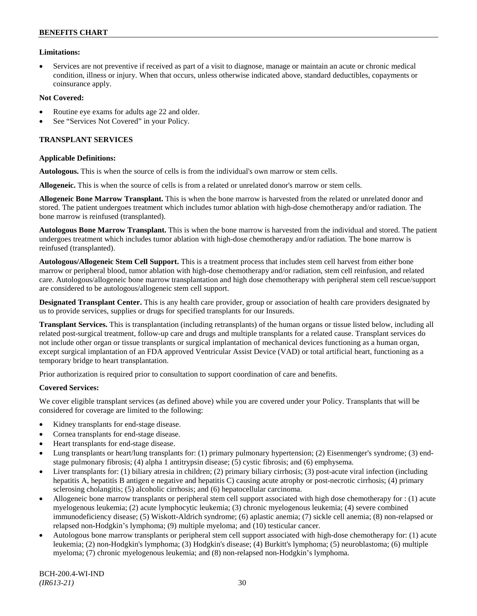### **Limitations:**

• Services are not preventive if received as part of a visit to diagnose, manage or maintain an acute or chronic medical condition, illness or injury. When that occurs, unless otherwise indicated above, standard deductibles, copayments or coinsurance apply.

#### **Not Covered:**

- Routine eye exams for adults age 22 and older.
- See "Services Not Covered" in your Policy.

#### **TRANSPLANT SERVICES**

#### **Applicable Definitions:**

**Autologous.** This is when the source of cells is from the individual's own marrow or stem cells.

**Allogeneic.** This is when the source of cells is from a related or unrelated donor's marrow or stem cells.

**Allogeneic Bone Marrow Transplant.** This is when the bone marrow is harvested from the related or unrelated donor and stored. The patient undergoes treatment which includes tumor ablation with high-dose chemotherapy and/or radiation. The bone marrow is reinfused (transplanted).

**Autologous Bone Marrow Transplant.** This is when the bone marrow is harvested from the individual and stored. The patient undergoes treatment which includes tumor ablation with high-dose chemotherapy and/or radiation. The bone marrow is reinfused (transplanted).

**Autologous/Allogeneic Stem Cell Support.** This is a treatment process that includes stem cell harvest from either bone marrow or peripheral blood, tumor ablation with high-dose chemotherapy and/or radiation, stem cell reinfusion, and related care. Autologous/allogeneic bone marrow transplantation and high dose chemotherapy with peripheral stem cell rescue/support are considered to be autologous/allogeneic stem cell support.

**Designated Transplant Center.** This is any health care provider, group or association of health care providers designated by us to provide services, supplies or drugs for specified transplants for our Insureds.

**Transplant Services.** This is transplantation (including retransplants) of the human organs or tissue listed below, including all related post-surgical treatment, follow-up care and drugs and multiple transplants for a related cause. Transplant services do not include other organ or tissue transplants or surgical implantation of mechanical devices functioning as a human organ, except surgical implantation of an FDA approved Ventricular Assist Device (VAD) or total artificial heart, functioning as a temporary bridge to heart transplantation.

Prior authorization is required prior to consultation to support coordination of care and benefits.

### **Covered Services:**

We cover eligible transplant services (as defined above) while you are covered under your Policy. Transplants that will be considered for coverage are limited to the following:

- Kidney transplants for end-stage disease.
- Cornea transplants for end-stage disease.
- Heart transplants for end-stage disease.
- Lung transplants or heart/lung transplants for: (1) primary pulmonary hypertension; (2) Eisenmenger's syndrome; (3) endstage pulmonary fibrosis; (4) alpha 1 antitrypsin disease; (5) cystic fibrosis; and (6) emphysema.
- Liver transplants for: (1) biliary atresia in children; (2) primary biliary cirrhosis; (3) post-acute viral infection (including hepatitis A, hepatitis B antigen e negative and hepatitis C) causing acute atrophy or post-necrotic cirrhosis; (4) primary sclerosing cholangitis; (5) alcoholic cirrhosis; and (6) hepatocellular carcinoma.
- Allogeneic bone marrow transplants or peripheral stem cell support associated with high dose chemotherapy for : (1) acute myelogenous leukemia; (2) acute lymphocytic leukemia; (3) chronic myelogenous leukemia; (4) severe combined immunodeficiency disease; (5) Wiskott-Aldrich syndrome; (6) aplastic anemia; (7) sickle cell anemia; (8) non-relapsed or relapsed non-Hodgkin's lymphoma; (9) multiple myeloma; and (10) testicular cancer.
- Autologous bone marrow transplants or peripheral stem cell support associated with high-dose chemotherapy for: (1) acute leukemia; (2) non-Hodgkin's lymphoma; (3) Hodgkin's disease; (4) Burkitt's lymphoma; (5) neuroblastoma; (6) multiple myeloma; (7) chronic myelogenous leukemia; and (8) non-relapsed non-Hodgkin's lymphoma.